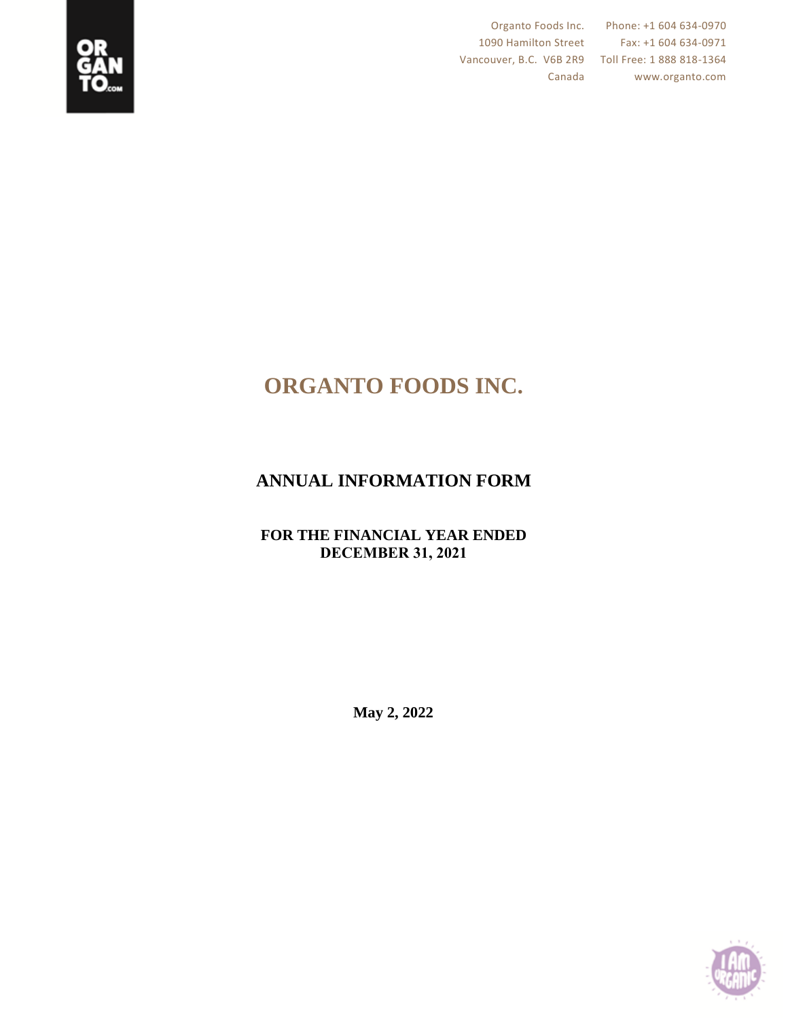

Vancouver, B.C. V6B 2R9 Toll Free: 1 888 818-1364

Organto Foods Inc. Phone: +1 604 634-0970 1090 Hamilton Street Fax: +1 604 634-0971 Canada www.organto.com

# **ORGANTO FOODS INC.**

## **ANNUAL INFORMATION FORM**

## **FOR THE FINANCIAL YEAR ENDED DECEMBER 31, 2021**

**May 2, 2022**

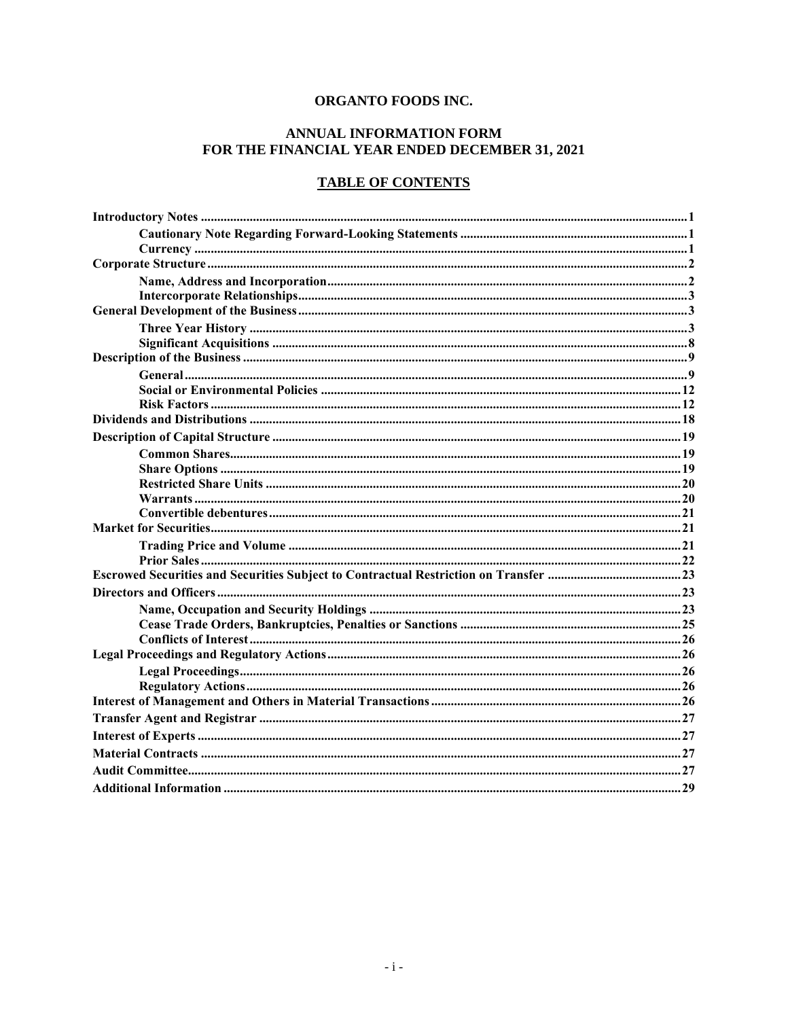## ORGANTO FOODS INC.

## ANNUAL INFORMATION FORM FOR THE FINANCIAL YEAR ENDED DECEMBER 31, 2021

## **TABLE OF CONTENTS**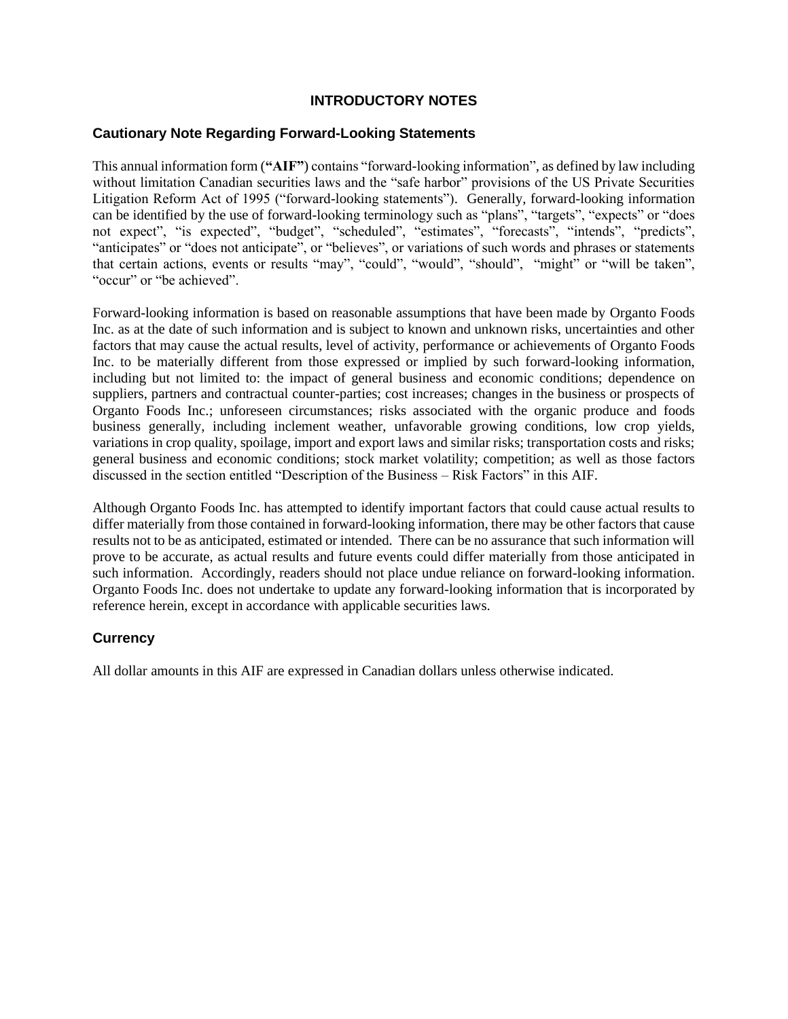## **INTRODUCTORY NOTES**

## **Cautionary Note Regarding Forward-Looking Statements**

This annual information form (**"AIF"**) contains "forward-looking information", as defined by law including without limitation Canadian securities laws and the "safe harbor" provisions of the US Private Securities Litigation Reform Act of 1995 ("forward-looking statements"). Generally, forward-looking information can be identified by the use of forward-looking terminology such as "plans", "targets", "expects" or "does not expect", "is expected", "budget", "scheduled", "estimates", "forecasts", "intends", "predicts", "anticipates" or "does not anticipate", or "believes", or variations of such words and phrases or statements that certain actions, events or results "may", "could", "would", "should", "might" or "will be taken", "occur" or "be achieved".

Forward-looking information is based on reasonable assumptions that have been made by Organto Foods Inc. as at the date of such information and is subject to known and unknown risks, uncertainties and other factors that may cause the actual results, level of activity, performance or achievements of Organto Foods Inc. to be materially different from those expressed or implied by such forward-looking information, including but not limited to: the impact of general business and economic conditions; dependence on suppliers, partners and contractual counter-parties; cost increases; changes in the business or prospects of Organto Foods Inc.; unforeseen circumstances; risks associated with the organic produce and foods business generally, including inclement weather, unfavorable growing conditions, low crop yields, variations in crop quality, spoilage, import and export laws and similar risks; transportation costs and risks; general business and economic conditions; stock market volatility; competition; as well as those factors discussed in the section entitled "Description of the Business – Risk Factors" in this AIF.

Although Organto Foods Inc. has attempted to identify important factors that could cause actual results to differ materially from those contained in forward-looking information, there may be other factors that cause results not to be as anticipated, estimated or intended. There can be no assurance that such information will prove to be accurate, as actual results and future events could differ materially from those anticipated in such information. Accordingly, readers should not place undue reliance on forward-looking information. Organto Foods Inc. does not undertake to update any forward-looking information that is incorporated by reference herein, except in accordance with applicable securities laws.

## **Currency**

All dollar amounts in this AIF are expressed in Canadian dollars unless otherwise indicated.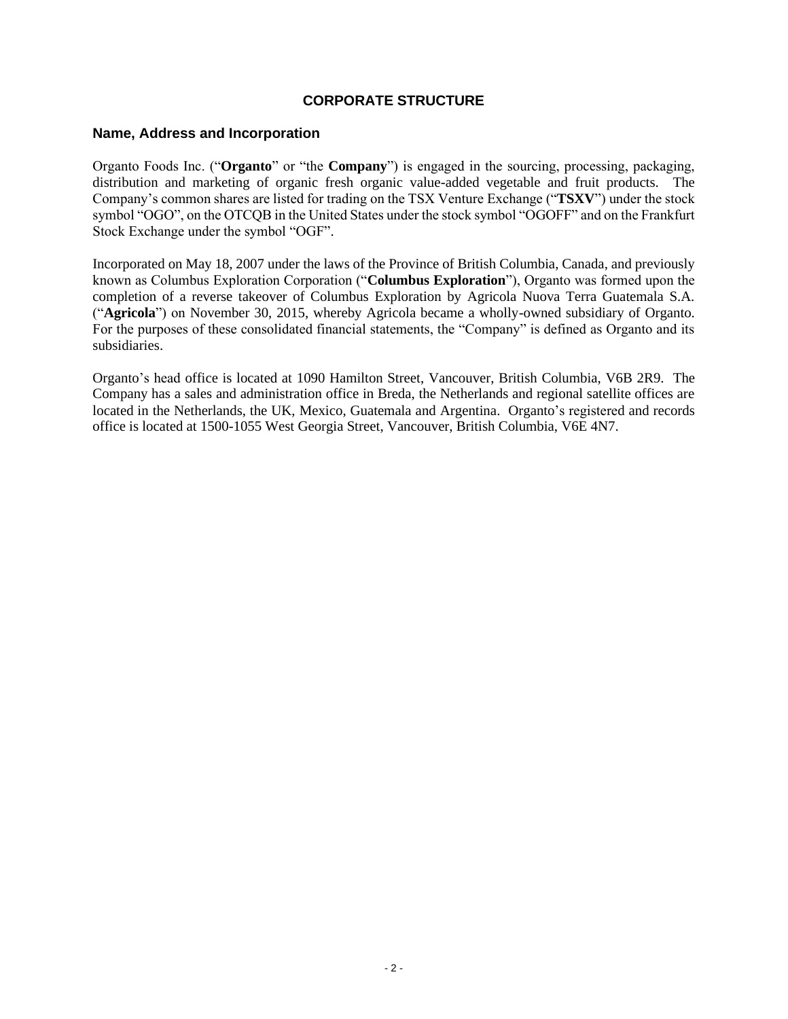## **CORPORATE STRUCTURE**

#### **Name, Address and Incorporation**

Organto Foods Inc. ("**Organto**" or "the **Company**") is engaged in the sourcing, processing, packaging, distribution and marketing of organic fresh organic value-added vegetable and fruit products. The Company's common shares are listed for trading on the TSX Venture Exchange ("**TSXV**") under the stock symbol "OGO", on the OTCQB in the United States under the stock symbol "OGOFF" and on the Frankfurt Stock Exchange under the symbol "OGF".

Incorporated on May 18, 2007 under the laws of the Province of British Columbia, Canada, and previously known as Columbus Exploration Corporation ("**Columbus Exploration**"), Organto was formed upon the completion of a reverse takeover of Columbus Exploration by Agricola Nuova Terra Guatemala S.A. ("**Agricola**") on November 30, 2015, whereby Agricola became a wholly-owned subsidiary of Organto. For the purposes of these consolidated financial statements, the "Company" is defined as Organto and its subsidiaries.

Organto's head office is located at 1090 Hamilton Street, Vancouver, British Columbia, V6B 2R9. The Company has a sales and administration office in Breda, the Netherlands and regional satellite offices are located in the Netherlands, the UK, Mexico, Guatemala and Argentina. Organto's registered and records office is located at 1500-1055 West Georgia Street, Vancouver, British Columbia, V6E 4N7.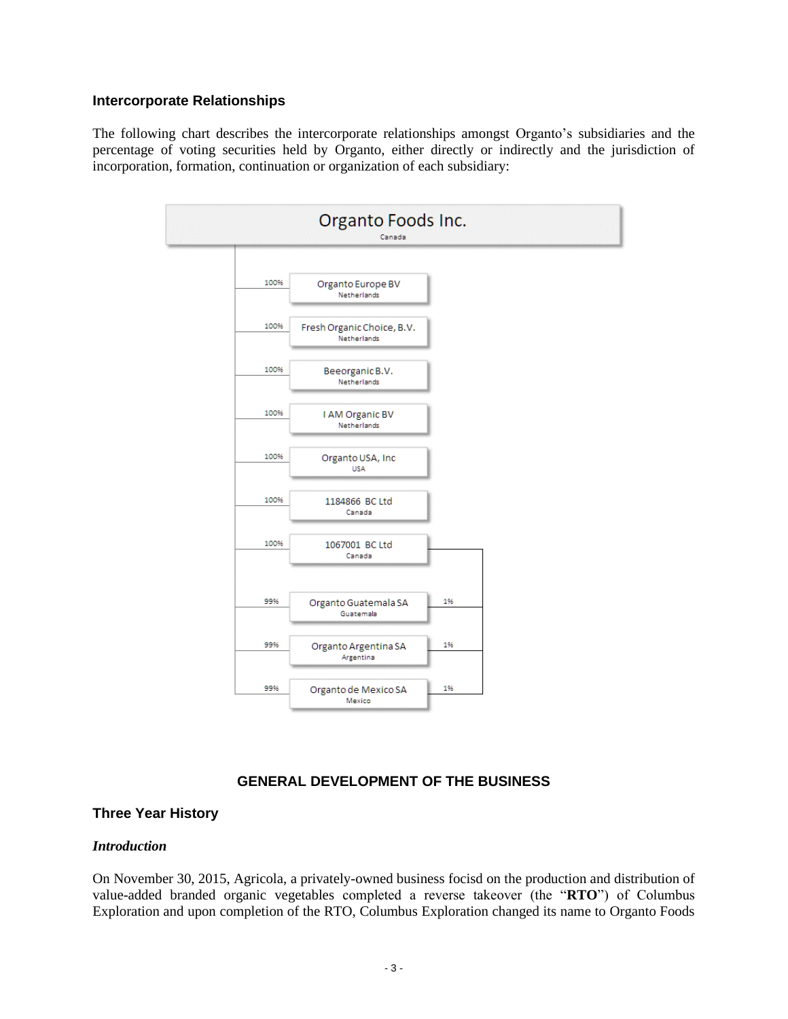#### **Intercorporate Relationships**

The following chart describes the intercorporate relationships amongst Organto's subsidiaries and the percentage of voting securities held by Organto, either directly or indirectly and the jurisdiction of incorporation, formation, continuation or organization of each subsidiary:



## **GENERAL DEVELOPMENT OF THE BUSINESS**

#### **Three Year History**

#### *Introduction*

On November 30, 2015, Agricola, a privately-owned business focisd on the production and distribution of value-added branded organic vegetables completed a reverse takeover (the "**RTO**") of Columbus Exploration and upon completion of the RTO, Columbus Exploration changed its name to Organto Foods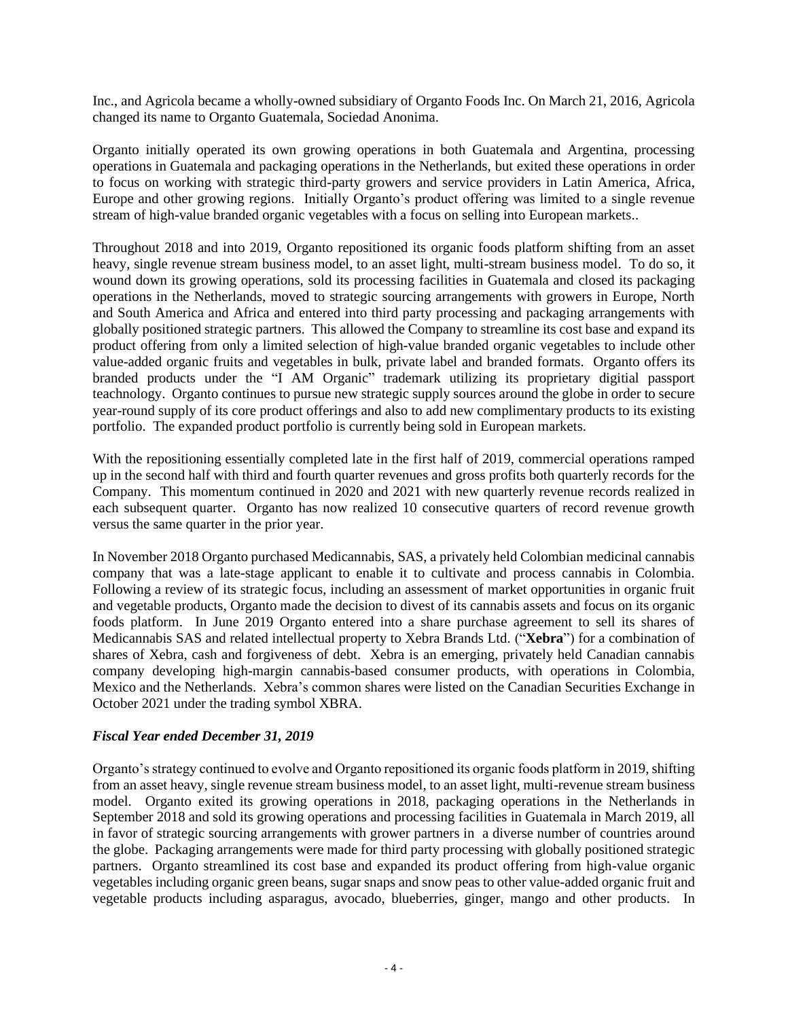Inc., and Agricola became a wholly-owned subsidiary of Organto Foods Inc. On March 21, 2016, Agricola changed its name to Organto Guatemala, Sociedad Anonima.

Organto initially operated its own growing operations in both Guatemala and Argentina, processing operations in Guatemala and packaging operations in the Netherlands, but exited these operations in order to focus on working with strategic third-party growers and service providers in Latin America, Africa, Europe and other growing regions. Initially Organto's product offering was limited to a single revenue stream of high-value branded organic vegetables with a focus on selling into European markets..

Throughout 2018 and into 2019, Organto repositioned its organic foods platform shifting from an asset heavy, single revenue stream business model, to an asset light, multi-stream business model. To do so, it wound down its growing operations, sold its processing facilities in Guatemala and closed its packaging operations in the Netherlands, moved to strategic sourcing arrangements with growers in Europe, North and South America and Africa and entered into third party processing and packaging arrangements with globally positioned strategic partners. This allowed the Company to streamline its cost base and expand its product offering from only a limited selection of high-value branded organic vegetables to include other value-added organic fruits and vegetables in bulk, private label and branded formats. Organto offers its branded products under the "I AM Organic" trademark utilizing its proprietary digitial passport teachnology. Organto continues to pursue new strategic supply sources around the globe in order to secure year-round supply of its core product offerings and also to add new complimentary products to its existing portfolio. The expanded product portfolio is currently being sold in European markets.

With the repositioning essentially completed late in the first half of 2019, commercial operations ramped up in the second half with third and fourth quarter revenues and gross profits both quarterly records for the Company. This momentum continued in 2020 and 2021 with new quarterly revenue records realized in each subsequent quarter. Organto has now realized 10 consecutive quarters of record revenue growth versus the same quarter in the prior year.

In November 2018 Organto purchased Medicannabis, SAS, a privately held Colombian medicinal cannabis company that was a late-stage applicant to enable it to cultivate and process cannabis in Colombia. Following a review of its strategic focus, including an assessment of market opportunities in organic fruit and vegetable products, Organto made the decision to divest of its cannabis assets and focus on its organic foods platform. In June 2019 Organto entered into a share purchase agreement to sell its shares of Medicannabis SAS and related intellectual property to Xebra Brands Ltd. ("**Xebra**") for a combination of shares of Xebra, cash and forgiveness of debt. Xebra is an emerging, privately held Canadian cannabis company developing high-margin cannabis-based consumer products, with operations in Colombia, Mexico and the Netherlands. Xebra's common shares were listed on the Canadian Securities Exchange in October 2021 under the trading symbol XBRA.

#### *Fiscal Year ended December 31, 2019*

Organto's strategy continued to evolve and Organto repositioned its organic foods platform in 2019, shifting from an asset heavy, single revenue stream business model, to an asset light, multi-revenue stream business model. Organto exited its growing operations in 2018, packaging operations in the Netherlands in September 2018 and sold its growing operations and processing facilities in Guatemala in March 2019, all in favor of strategic sourcing arrangements with grower partners in a diverse number of countries around the globe. Packaging arrangements were made for third party processing with globally positioned strategic partners. Organto streamlined its cost base and expanded its product offering from high-value organic vegetables including organic green beans, sugar snaps and snow peas to other value-added organic fruit and vegetable products including asparagus, avocado, blueberries, ginger, mango and other products. In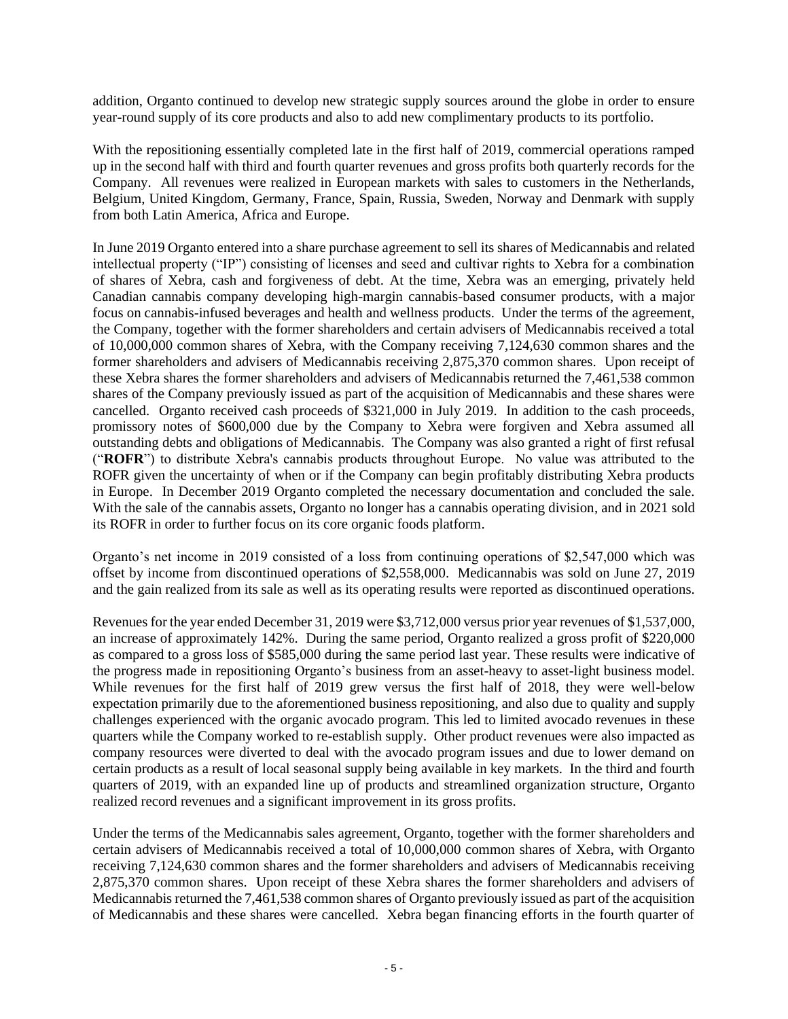addition, Organto continued to develop new strategic supply sources around the globe in order to ensure year-round supply of its core products and also to add new complimentary products to its portfolio.

With the repositioning essentially completed late in the first half of 2019, commercial operations ramped up in the second half with third and fourth quarter revenues and gross profits both quarterly records for the Company. All revenues were realized in European markets with sales to customers in the Netherlands, Belgium, United Kingdom, Germany, France, Spain, Russia, Sweden, Norway and Denmark with supply from both Latin America, Africa and Europe.

In June 2019 Organto entered into a share purchase agreement to sell its shares of Medicannabis and related intellectual property ("IP") consisting of licenses and seed and cultivar rights to Xebra for a combination of shares of Xebra, cash and forgiveness of debt. At the time, Xebra was an emerging, privately held Canadian cannabis company developing high-margin cannabis-based consumer products, with a major focus on cannabis-infused beverages and health and wellness products. Under the terms of the agreement, the Company, together with the former shareholders and certain advisers of Medicannabis received a total of 10,000,000 common shares of Xebra, with the Company receiving 7,124,630 common shares and the former shareholders and advisers of Medicannabis receiving 2,875,370 common shares. Upon receipt of these Xebra shares the former shareholders and advisers of Medicannabis returned the 7,461,538 common shares of the Company previously issued as part of the acquisition of Medicannabis and these shares were cancelled. Organto received cash proceeds of \$321,000 in July 2019. In addition to the cash proceeds, promissory notes of \$600,000 due by the Company to Xebra were forgiven and Xebra assumed all outstanding debts and obligations of Medicannabis. The Company was also granted a right of first refusal ("**ROFR**") to distribute Xebra's cannabis products throughout Europe. No value was attributed to the ROFR given the uncertainty of when or if the Company can begin profitably distributing Xebra products in Europe. In December 2019 Organto completed the necessary documentation and concluded the sale. With the sale of the cannabis assets, Organto no longer has a cannabis operating division, and in 2021 sold its ROFR in order to further focus on its core organic foods platform.

Organto's net income in 2019 consisted of a loss from continuing operations of \$2,547,000 which was offset by income from discontinued operations of \$2,558,000. Medicannabis was sold on June 27, 2019 and the gain realized from its sale as well as its operating results were reported as discontinued operations.

Revenues for the year ended December 31, 2019 were \$3,712,000 versus prior year revenues of \$1,537,000, an increase of approximately 142%. During the same period, Organto realized a gross profit of \$220,000 as compared to a gross loss of \$585,000 during the same period last year. These results were indicative of the progress made in repositioning Organto's business from an asset-heavy to asset-light business model. While revenues for the first half of 2019 grew versus the first half of 2018, they were well-below expectation primarily due to the aforementioned business repositioning, and also due to quality and supply challenges experienced with the organic avocado program. This led to limited avocado revenues in these quarters while the Company worked to re-establish supply. Other product revenues were also impacted as company resources were diverted to deal with the avocado program issues and due to lower demand on certain products as a result of local seasonal supply being available in key markets. In the third and fourth quarters of 2019, with an expanded line up of products and streamlined organization structure, Organto realized record revenues and a significant improvement in its gross profits.

Under the terms of the Medicannabis sales agreement, Organto, together with the former shareholders and certain advisers of Medicannabis received a total of 10,000,000 common shares of Xebra, with Organto receiving 7,124,630 common shares and the former shareholders and advisers of Medicannabis receiving 2,875,370 common shares. Upon receipt of these Xebra shares the former shareholders and advisers of Medicannabis returned the 7,461,538 common shares of Organto previously issued as part of the acquisition of Medicannabis and these shares were cancelled. Xebra began financing efforts in the fourth quarter of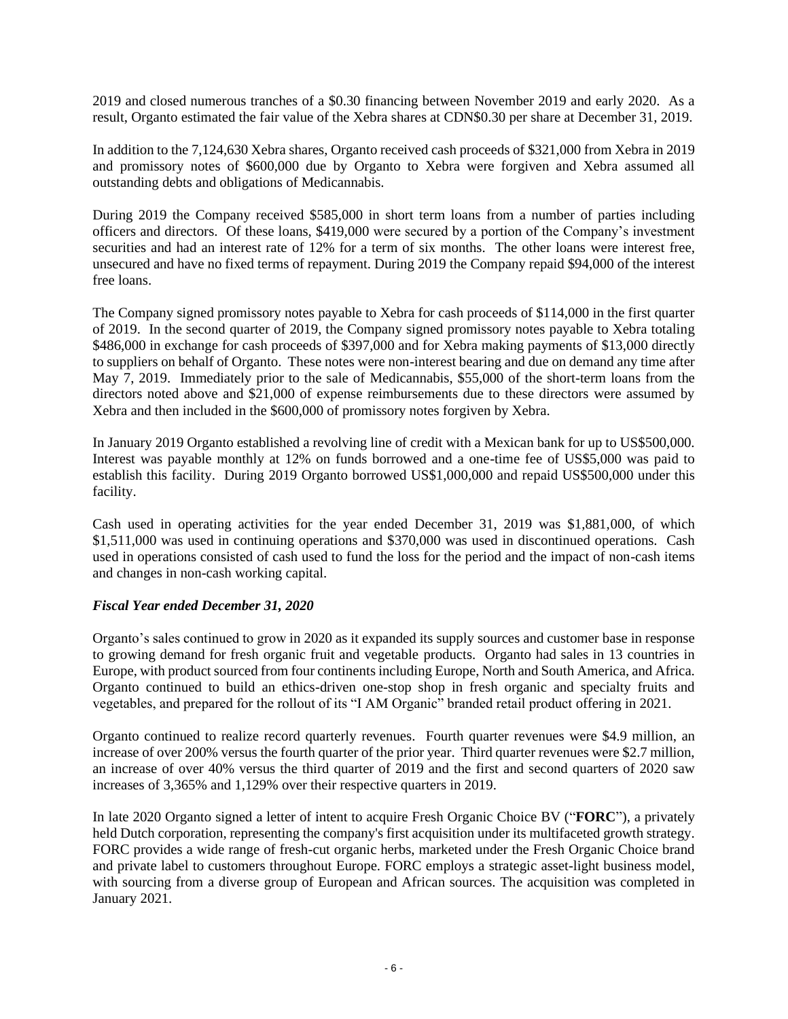2019 and closed numerous tranches of a \$0.30 financing between November 2019 and early 2020. As a result, Organto estimated the fair value of the Xebra shares at CDN\$0.30 per share at December 31, 2019.

In addition to the 7,124,630 Xebra shares, Organto received cash proceeds of \$321,000 from Xebra in 2019 and promissory notes of \$600,000 due by Organto to Xebra were forgiven and Xebra assumed all outstanding debts and obligations of Medicannabis.

During 2019 the Company received \$585,000 in short term loans from a number of parties including officers and directors. Of these loans, \$419,000 were secured by a portion of the Company's investment securities and had an interest rate of 12% for a term of six months. The other loans were interest free, unsecured and have no fixed terms of repayment. During 2019 the Company repaid \$94,000 of the interest free loans.

The Company signed promissory notes payable to Xebra for cash proceeds of \$114,000 in the first quarter of 2019. In the second quarter of 2019, the Company signed promissory notes payable to Xebra totaling \$486,000 in exchange for cash proceeds of \$397,000 and for Xebra making payments of \$13,000 directly to suppliers on behalf of Organto. These notes were non-interest bearing and due on demand any time after May 7, 2019. Immediately prior to the sale of Medicannabis, \$55,000 of the short-term loans from the directors noted above and \$21,000 of expense reimbursements due to these directors were assumed by Xebra and then included in the \$600,000 of promissory notes forgiven by Xebra.

In January 2019 Organto established a revolving line of credit with a Mexican bank for up to US\$500,000. Interest was payable monthly at 12% on funds borrowed and a one-time fee of US\$5,000 was paid to establish this facility. During 2019 Organto borrowed US\$1,000,000 and repaid US\$500,000 under this facility.

Cash used in operating activities for the year ended December 31, 2019 was \$1,881,000, of which \$1,511,000 was used in continuing operations and \$370,000 was used in discontinued operations. Cash used in operations consisted of cash used to fund the loss for the period and the impact of non-cash items and changes in non-cash working capital.

#### *Fiscal Year ended December 31, 2020*

Organto's sales continued to grow in 2020 as it expanded its supply sources and customer base in response to growing demand for fresh organic fruit and vegetable products. Organto had sales in 13 countries in Europe, with product sourced from four continents including Europe, North and South America, and Africa. Organto continued to build an ethics-driven one-stop shop in fresh organic and specialty fruits and vegetables, and prepared for the rollout of its "I AM Organic" branded retail product offering in 2021.

Organto continued to realize record quarterly revenues. Fourth quarter revenues were \$4.9 million, an increase of over 200% versus the fourth quarter of the prior year. Third quarter revenues were \$2.7 million, an increase of over 40% versus the third quarter of 2019 and the first and second quarters of 2020 saw increases of 3,365% and 1,129% over their respective quarters in 2019.

In late 2020 Organto signed a letter of intent to acquire Fresh Organic Choice BV ("**FORC**"), a privately held Dutch corporation, representing the company's first acquisition under its multifaceted growth strategy. FORC provides a wide range of fresh-cut organic herbs, marketed under the Fresh Organic Choice brand and private label to customers throughout Europe. FORC employs a strategic asset-light business model, with sourcing from a diverse group of European and African sources. The acquisition was completed in January 2021.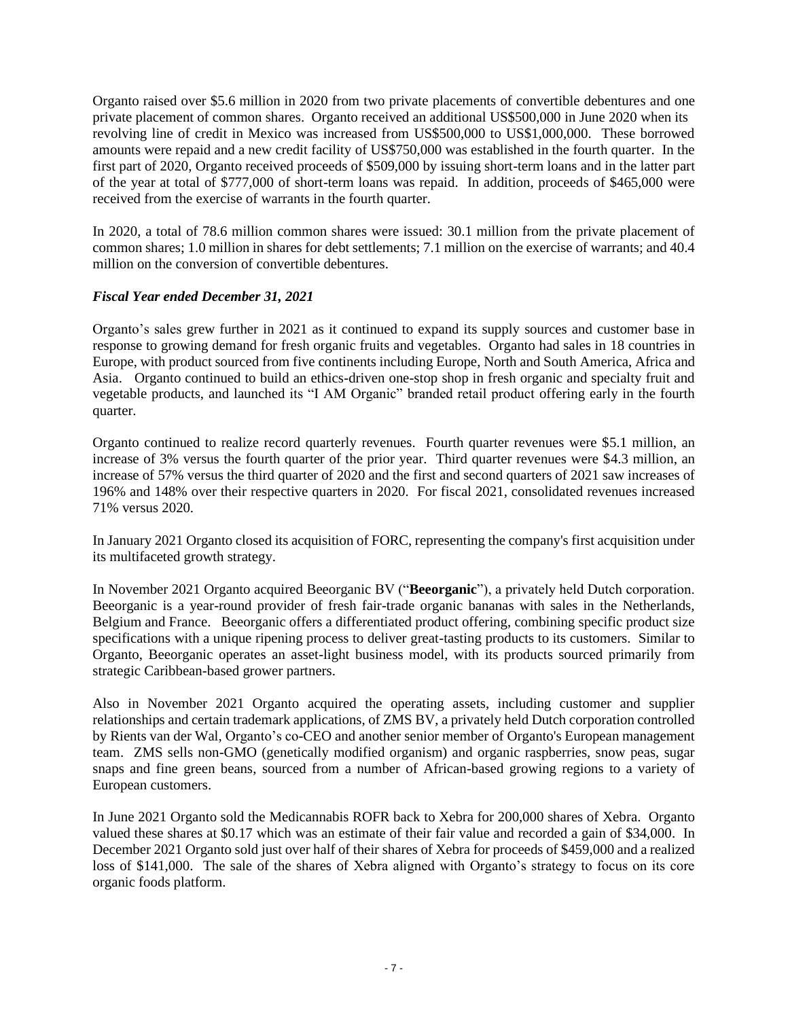Organto raised over \$5.6 million in 2020 from two private placements of convertible debentures and one private placement of common shares. Organto received an additional US\$500,000 in June 2020 when its revolving line of credit in Mexico was increased from US\$500,000 to US\$1,000,000. These borrowed amounts were repaid and a new credit facility of US\$750,000 was established in the fourth quarter. In the first part of 2020, Organto received proceeds of \$509,000 by issuing short-term loans and in the latter part of the year at total of \$777,000 of short-term loans was repaid. In addition, proceeds of \$465,000 were received from the exercise of warrants in the fourth quarter.

In 2020, a total of 78.6 million common shares were issued: 30.1 million from the private placement of common shares; 1.0 million in shares for debt settlements; 7.1 million on the exercise of warrants; and 40.4 million on the conversion of convertible debentures.

## *Fiscal Year ended December 31, 2021*

Organto's sales grew further in 2021 as it continued to expand its supply sources and customer base in response to growing demand for fresh organic fruits and vegetables. Organto had sales in 18 countries in Europe, with product sourced from five continents including Europe, North and South America, Africa and Asia. Organto continued to build an ethics-driven one-stop shop in fresh organic and specialty fruit and vegetable products, and launched its "I AM Organic" branded retail product offering early in the fourth quarter.

Organto continued to realize record quarterly revenues. Fourth quarter revenues were \$5.1 million, an increase of 3% versus the fourth quarter of the prior year. Third quarter revenues were \$4.3 million, an increase of 57% versus the third quarter of 2020 and the first and second quarters of 2021 saw increases of 196% and 148% over their respective quarters in 2020. For fiscal 2021, consolidated revenues increased 71% versus 2020.

In January 2021 Organto closed its acquisition of FORC, representing the company's first acquisition under its multifaceted growth strategy.

In November 2021 Organto acquired Beeorganic BV ("**Beeorganic**"), a privately held Dutch corporation. Beeorganic is a year-round provider of fresh fair-trade organic bananas with sales in the Netherlands, Belgium and France. Beeorganic offers a differentiated product offering, combining specific product size specifications with a unique ripening process to deliver great-tasting products to its customers. Similar to Organto, Beeorganic operates an asset-light business model, with its products sourced primarily from strategic Caribbean-based grower partners.

Also in November 2021 Organto acquired the operating assets, including customer and supplier relationships and certain trademark applications, of ZMS BV, a privately held Dutch corporation controlled by Rients van der Wal, Organto's co-CEO and another senior member of Organto's European management team. ZMS sells non-GMO (genetically modified organism) and organic raspberries, snow peas, sugar snaps and fine green beans, sourced from a number of African-based growing regions to a variety of European customers.

In June 2021 Organto sold the Medicannabis ROFR back to Xebra for 200,000 shares of Xebra. Organto valued these shares at \$0.17 which was an estimate of their fair value and recorded a gain of \$34,000. In December 2021 Organto sold just over half of their shares of Xebra for proceeds of \$459,000 and a realized loss of \$141,000. The sale of the shares of Xebra aligned with Organto's strategy to focus on its core organic foods platform.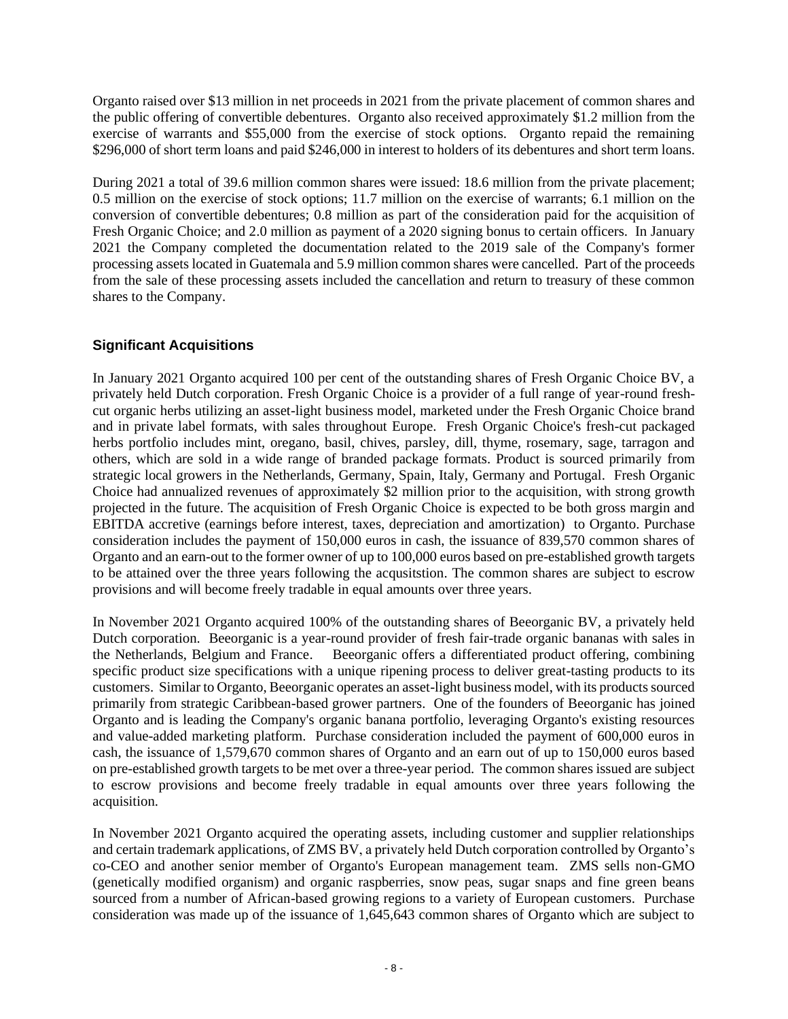Organto raised over \$13 million in net proceeds in 2021 from the private placement of common shares and the public offering of convertible debentures. Organto also received approximately \$1.2 million from the exercise of warrants and \$55,000 from the exercise of stock options. Organto repaid the remaining \$296,000 of short term loans and paid \$246,000 in interest to holders of its debentures and short term loans.

During 2021 a total of 39.6 million common shares were issued: 18.6 million from the private placement; 0.5 million on the exercise of stock options; 11.7 million on the exercise of warrants; 6.1 million on the conversion of convertible debentures; 0.8 million as part of the consideration paid for the acquisition of Fresh Organic Choice; and 2.0 million as payment of a 2020 signing bonus to certain officers. In January 2021 the Company completed the documentation related to the 2019 sale of the Company's former processing assets located in Guatemala and 5.9 million common shares were cancelled. Part of the proceeds from the sale of these processing assets included the cancellation and return to treasury of these common shares to the Company.

## **Significant Acquisitions**

In January 2021 Organto acquired 100 per cent of the outstanding shares of Fresh Organic Choice BV, a privately held Dutch corporation. Fresh Organic Choice is a provider of a full range of year-round freshcut organic herbs utilizing an asset-light business model, marketed under the Fresh Organic Choice brand and in private label formats, with sales throughout Europe. Fresh Organic Choice's fresh-cut packaged herbs portfolio includes mint, oregano, basil, chives, parsley, dill, thyme, rosemary, sage, tarragon and others, which are sold in a wide range of branded package formats. Product is sourced primarily from strategic local growers in the Netherlands, Germany, Spain, Italy, Germany and Portugal. Fresh Organic Choice had annualized revenues of approximately \$2 million prior to the acquisition, with strong growth projected in the future. The acquisition of Fresh Organic Choice is expected to be both gross margin and EBITDA accretive (earnings before interest, taxes, depreciation and amortization) to Organto. Purchase consideration includes the payment of 150,000 euros in cash, the issuance of 839,570 common shares of Organto and an earn-out to the former owner of up to 100,000 euros based on pre-established growth targets to be attained over the three years following the acqusitstion. The common shares are subject to escrow provisions and will become freely tradable in equal amounts over three years.

In November 2021 Organto acquired 100% of the outstanding shares of Beeorganic BV, a privately held Dutch corporation. Beeorganic is a year-round provider of fresh fair-trade organic bananas with sales in the Netherlands, Belgium and France. Beeorganic offers a differentiated product offering, combining specific product size specifications with a unique ripening process to deliver great-tasting products to its customers. Similar to Organto, Beeorganic operates an asset-light business model, with its products sourced primarily from strategic Caribbean-based grower partners. One of the founders of Beeorganic has joined Organto and is leading the Company's organic banana portfolio, leveraging Organto's existing resources and value-added marketing platform. Purchase consideration included the payment of 600,000 euros in cash, the issuance of 1,579,670 common shares of Organto and an earn out of up to 150,000 euros based on pre-established growth targets to be met over a three-year period. The common shares issued are subject to escrow provisions and become freely tradable in equal amounts over three years following the acquisition.

In November 2021 Organto acquired the operating assets, including customer and supplier relationships and certain trademark applications, of ZMS BV, a privately held Dutch corporation controlled by Organto's co-CEO and another senior member of Organto's European management team. ZMS sells non-GMO (genetically modified organism) and organic raspberries, snow peas, sugar snaps and fine green beans sourced from a number of African-based growing regions to a variety of European customers. Purchase consideration was made up of the issuance of 1,645,643 common shares of Organto which are subject to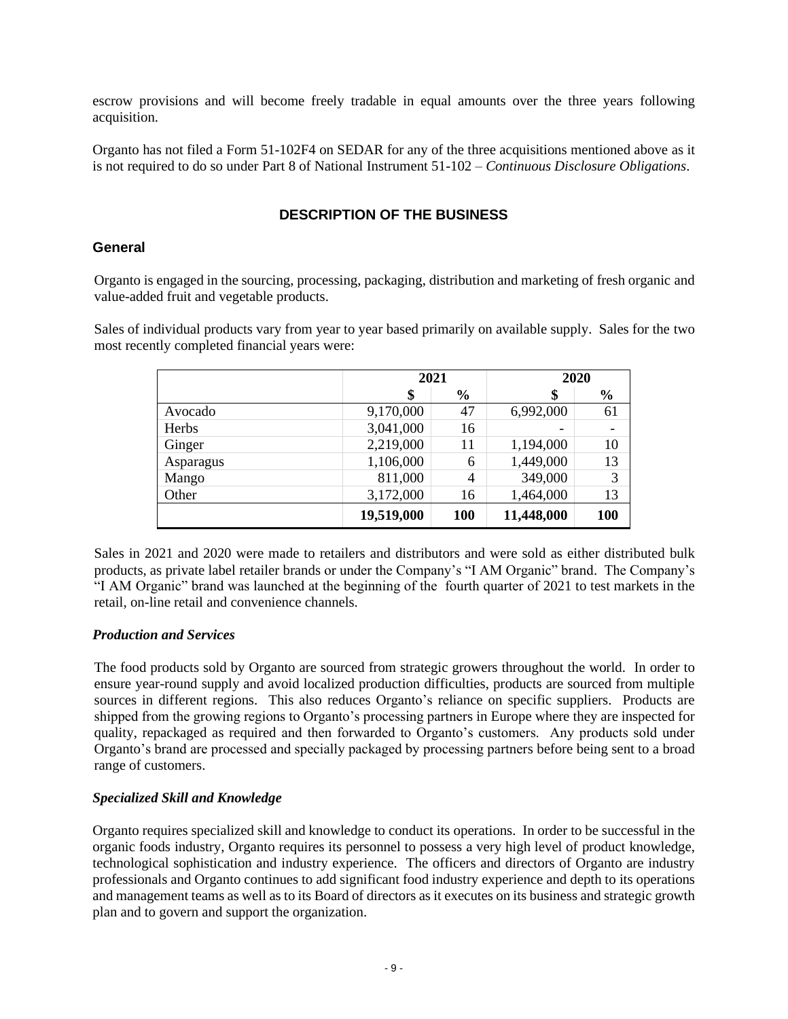escrow provisions and will become freely tradable in equal amounts over the three years following acquisition.

Organto has not filed a Form 51-102F4 on SEDAR for any of the three acquisitions mentioned above as it is not required to do so under Part 8 of National Instrument 51-102 – *Continuous Disclosure Obligations*.

## **DESCRIPTION OF THE BUSINESS**

#### **General**

Organto is engaged in the sourcing, processing, packaging, distribution and marketing of fresh organic and value-added fruit and vegetable products.

Sales of individual products vary from year to year based primarily on available supply. Sales for the two most recently completed financial years were:

|              | 2021       |               | 2020       |               |
|--------------|------------|---------------|------------|---------------|
|              | \$         | $\frac{6}{9}$ | \$         | $\frac{6}{6}$ |
| Avocado      | 9,170,000  | 47            | 6,992,000  | 61            |
| <b>Herbs</b> | 3,041,000  | 16            |            |               |
| Ginger       | 2,219,000  | 11            | 1,194,000  | 10            |
| Asparagus    | 1,106,000  | 6             | 1,449,000  | 13            |
| Mango        | 811,000    | 4             | 349,000    | 3             |
| Other        | 3,172,000  | 16            | 1,464,000  | 13            |
|              | 19,519,000 | 100           | 11,448,000 | 100           |

Sales in 2021 and 2020 were made to retailers and distributors and were sold as either distributed bulk products, as private label retailer brands or under the Company's "I AM Organic" brand. The Company's "I AM Organic" brand was launched at the beginning of the fourth quarter of 2021 to test markets in the retail, on-line retail and convenience channels.

#### *Production and Services*

The food products sold by Organto are sourced from strategic growers throughout the world. In order to ensure year-round supply and avoid localized production difficulties, products are sourced from multiple sources in different regions. This also reduces Organto's reliance on specific suppliers. Products are shipped from the growing regions to Organto's processing partners in Europe where they are inspected for quality, repackaged as required and then forwarded to Organto's customers. Any products sold under Organto's brand are processed and specially packaged by processing partners before being sent to a broad range of customers.

#### *Specialized Skill and Knowledge*

Organto requires specialized skill and knowledge to conduct its operations. In order to be successful in the organic foods industry, Organto requires its personnel to possess a very high level of product knowledge, technological sophistication and industry experience. The officers and directors of Organto are industry professionals and Organto continues to add significant food industry experience and depth to its operations and management teams as well as to its Board of directors as it executes on its business and strategic growth plan and to govern and support the organization.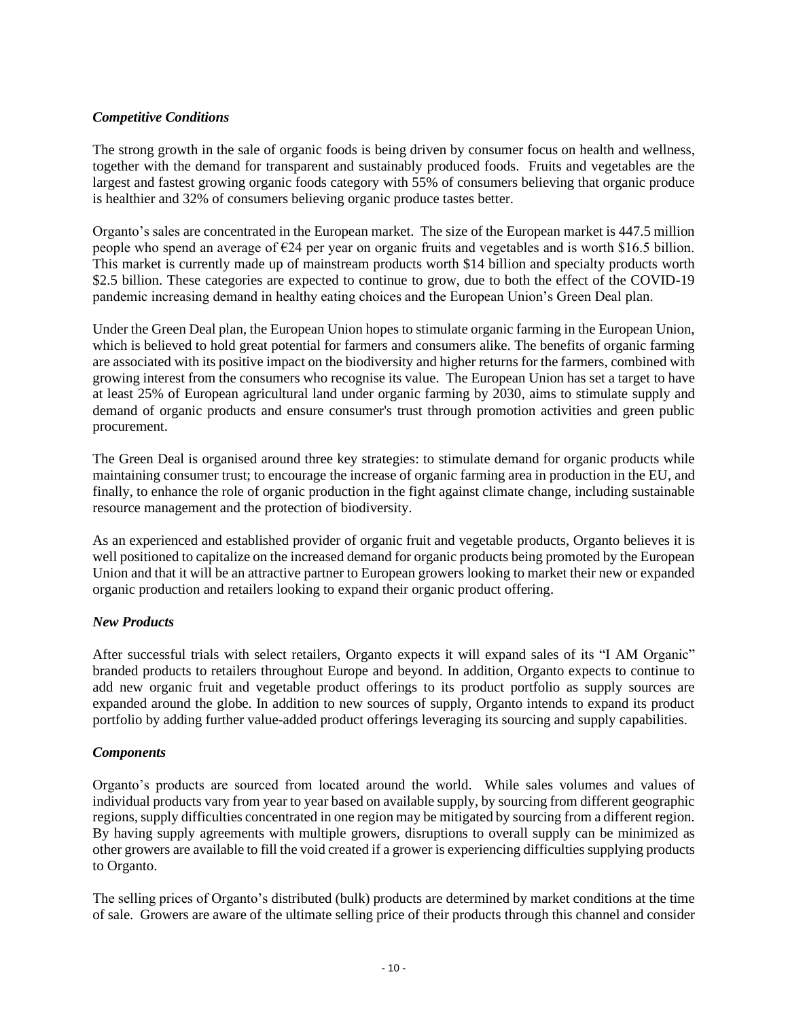## *Competitive Conditions*

The strong growth in the sale of organic foods is being driven by consumer focus on health and wellness, together with the demand for transparent and sustainably produced foods. Fruits and vegetables are the largest and fastest growing organic foods category with 55% of consumers believing that organic produce is healthier and 32% of consumers believing organic produce tastes better.

Organto's sales are concentrated in the European market. The size of the European market is 447.5 million people who spend an average of €24 per year on organic fruits and vegetables and is worth \$16.5 billion. This market is currently made up of mainstream products worth \$14 billion and specialty products worth \$2.5 billion. These categories are expected to continue to grow, due to both the effect of the COVID-19 pandemic increasing demand in healthy eating choices and the European Union's Green Deal plan.

Under the Green Deal plan, the European Union hopes to stimulate organic farming in the European Union, which is believed to hold great potential for farmers and consumers alike. The benefits of organic farming are associated with its positive impact on the biodiversity and higher returns for the farmers, combined with growing interest from the consumers who recognise its value. The European Union has set a target to have at least 25% of European agricultural land under organic farming by 2030, aims to stimulate supply and demand of organic products and ensure consumer's trust through promotion activities and green public procurement.

The Green Deal is organised around three key strategies: to stimulate demand for organic products while maintaining consumer trust; to encourage the increase of organic farming area in production in the EU, and finally, to enhance the role of organic production in the fight against climate change, including sustainable resource management and the protection of biodiversity.

As an experienced and established provider of organic fruit and vegetable products, Organto believes it is well positioned to capitalize on the increased demand for organic products being promoted by the European Union and that it will be an attractive partner to European growers looking to market their new or expanded organic production and retailers looking to expand their organic product offering.

#### *New Products*

After successful trials with select retailers, Organto expects it will expand sales of its "I AM Organic" branded products to retailers throughout Europe and beyond. In addition, Organto expects to continue to add new organic fruit and vegetable product offerings to its product portfolio as supply sources are expanded around the globe. In addition to new sources of supply, Organto intends to expand its product portfolio by adding further value-added product offerings leveraging its sourcing and supply capabilities.

#### *Components*

Organto's products are sourced from located around the world. While sales volumes and values of individual products vary from year to year based on available supply, by sourcing from different geographic regions, supply difficulties concentrated in one region may be mitigated by sourcing from a different region. By having supply agreements with multiple growers, disruptions to overall supply can be minimized as other growers are available to fill the void created if a grower is experiencing difficulties supplying products to Organto.

The selling prices of Organto's distributed (bulk) products are determined by market conditions at the time of sale. Growers are aware of the ultimate selling price of their products through this channel and consider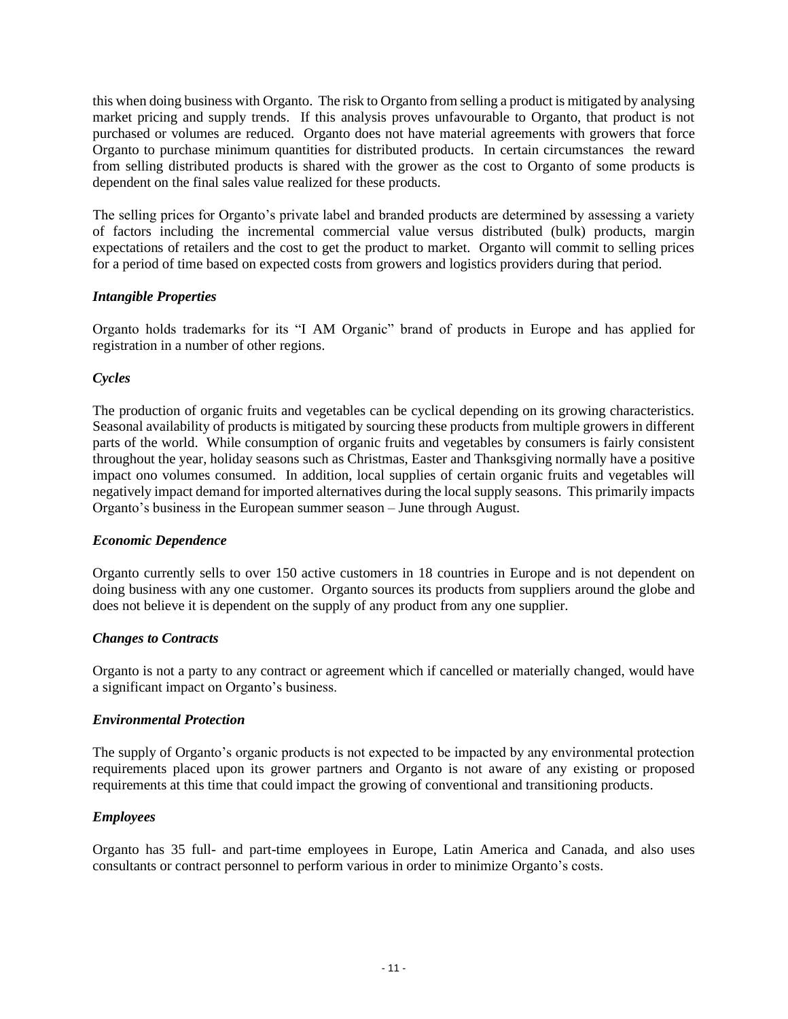this when doing business with Organto. The risk to Organto from selling a product is mitigated by analysing market pricing and supply trends. If this analysis proves unfavourable to Organto, that product is not purchased or volumes are reduced. Organto does not have material agreements with growers that force Organto to purchase minimum quantities for distributed products. In certain circumstances the reward from selling distributed products is shared with the grower as the cost to Organto of some products is dependent on the final sales value realized for these products.

The selling prices for Organto's private label and branded products are determined by assessing a variety of factors including the incremental commercial value versus distributed (bulk) products, margin expectations of retailers and the cost to get the product to market. Organto will commit to selling prices for a period of time based on expected costs from growers and logistics providers during that period.

## *Intangible Properties*

Organto holds trademarks for its "I AM Organic" brand of products in Europe and has applied for registration in a number of other regions.

## *Cycles*

The production of organic fruits and vegetables can be cyclical depending on its growing characteristics. Seasonal availability of products is mitigated by sourcing these products from multiple growers in different parts of the world. While consumption of organic fruits and vegetables by consumers is fairly consistent throughout the year, holiday seasons such as Christmas, Easter and Thanksgiving normally have a positive impact ono volumes consumed. In addition, local supplies of certain organic fruits and vegetables will negatively impact demand for imported alternatives during the local supply seasons. This primarily impacts Organto's business in the European summer season – June through August.

#### *Economic Dependence*

Organto currently sells to over 150 active customers in 18 countries in Europe and is not dependent on doing business with any one customer. Organto sources its products from suppliers around the globe and does not believe it is dependent on the supply of any product from any one supplier.

## *Changes to Contracts*

Organto is not a party to any contract or agreement which if cancelled or materially changed, would have a significant impact on Organto's business.

#### *Environmental Protection*

The supply of Organto's organic products is not expected to be impacted by any environmental protection requirements placed upon its grower partners and Organto is not aware of any existing or proposed requirements at this time that could impact the growing of conventional and transitioning products.

#### *Employees*

Organto has 35 full- and part-time employees in Europe, Latin America and Canada, and also uses consultants or contract personnel to perform various in order to minimize Organto's costs.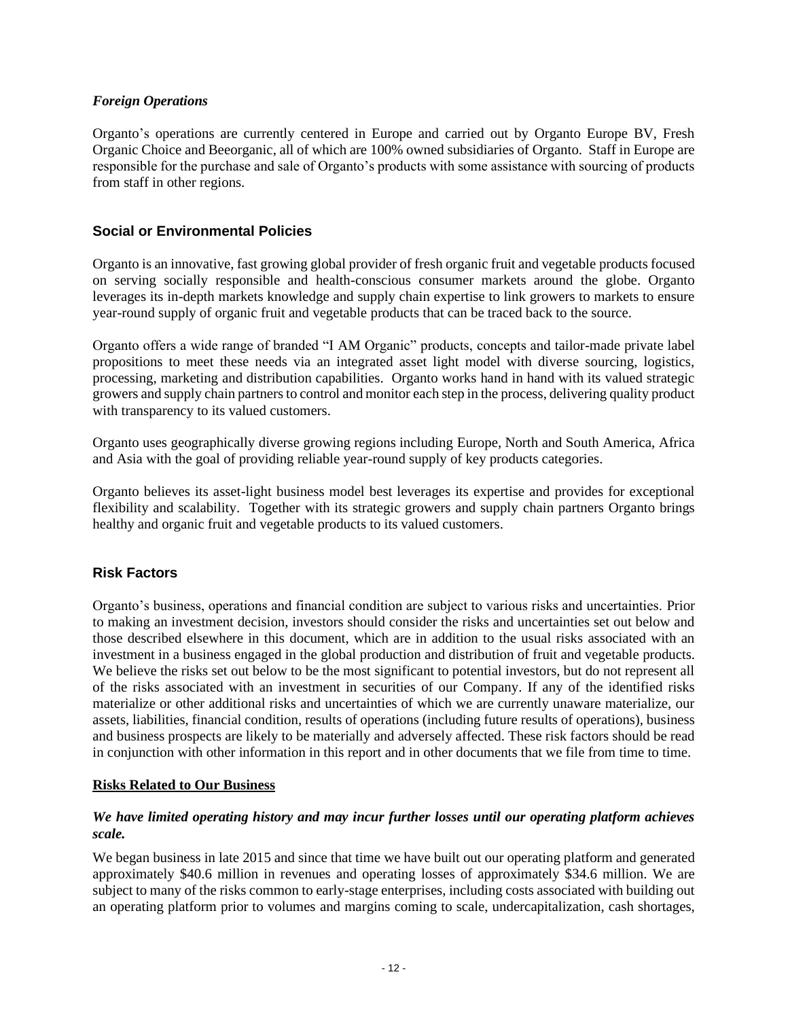## *Foreign Operations*

Organto's operations are currently centered in Europe and carried out by Organto Europe BV, Fresh Organic Choice and Beeorganic, all of which are 100% owned subsidiaries of Organto. Staff in Europe are responsible for the purchase and sale of Organto's products with some assistance with sourcing of products from staff in other regions.

## **Social or Environmental Policies**

Organto is an innovative, fast growing global provider of fresh organic fruit and vegetable products focused on serving socially responsible and health-conscious consumer markets around the globe. Organto leverages its in-depth markets knowledge and supply chain expertise to link growers to markets to ensure year-round supply of organic fruit and vegetable products that can be traced back to the source.

Organto offers a wide range of branded "I AM Organic" products, concepts and tailor-made private label propositions to meet these needs via an integrated asset light model with diverse sourcing, logistics, processing, marketing and distribution capabilities. Organto works hand in hand with its valued strategic growers and supply chain partners to control and monitor each step in the process, delivering quality product with transparency to its valued customers.

Organto uses geographically diverse growing regions including Europe, North and South America, Africa and Asia with the goal of providing reliable year-round supply of key products categories.

Organto believes its asset-light business model best leverages its expertise and provides for exceptional flexibility and scalability. Together with its strategic growers and supply chain partners Organto brings healthy and organic fruit and vegetable products to its valued customers.

## **Risk Factors**

Organto's business, operations and financial condition are subject to various risks and uncertainties. Prior to making an investment decision, investors should consider the risks and uncertainties set out below and those described elsewhere in this document, which are in addition to the usual risks associated with an investment in a business engaged in the global production and distribution of fruit and vegetable products. We believe the risks set out below to be the most significant to potential investors, but do not represent all of the risks associated with an investment in securities of our Company. If any of the identified risks materialize or other additional risks and uncertainties of which we are currently unaware materialize, our assets, liabilities, financial condition, results of operations (including future results of operations), business and business prospects are likely to be materially and adversely affected. These risk factors should be read in conjunction with other information in this report and in other documents that we file from time to time.

## **Risks Related to Our Business**

## *We have limited operating history and may incur further losses until our operating platform achieves scale.*

We began business in late 2015 and since that time we have built out our operating platform and generated approximately \$40.6 million in revenues and operating losses of approximately \$34.6 million. We are subject to many of the risks common to early-stage enterprises, including costs associated with building out an operating platform prior to volumes and margins coming to scale, undercapitalization, cash shortages,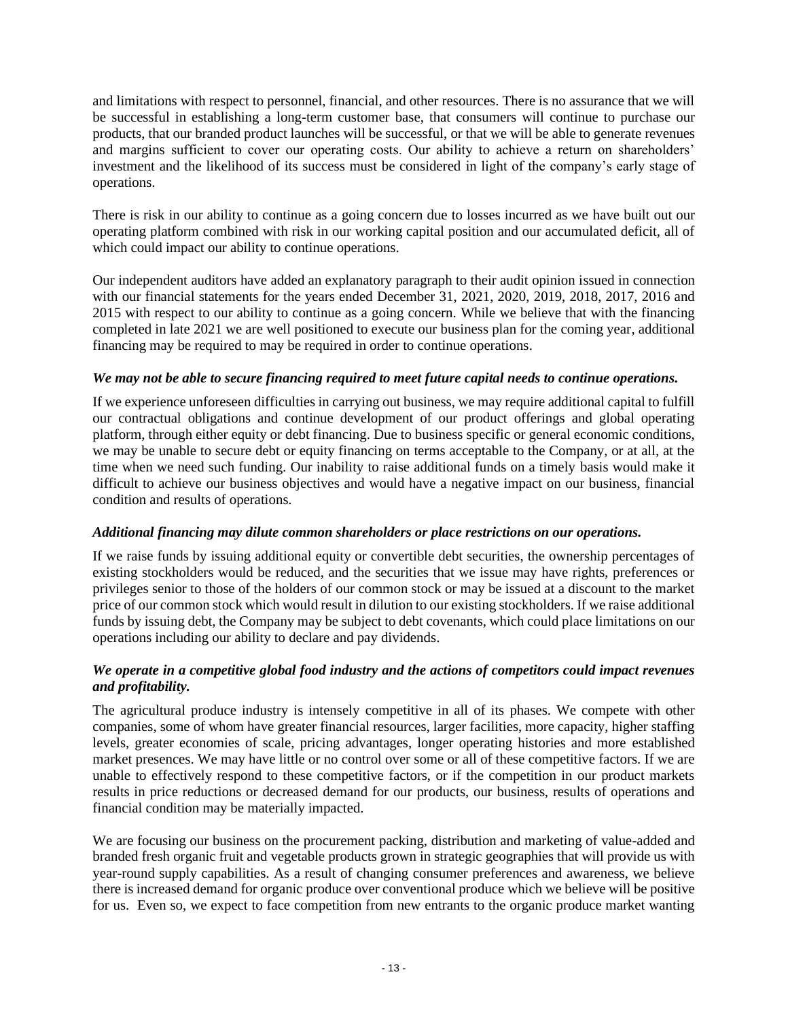and limitations with respect to personnel, financial, and other resources. There is no assurance that we will be successful in establishing a long-term customer base, that consumers will continue to purchase our products, that our branded product launches will be successful, or that we will be able to generate revenues and margins sufficient to cover our operating costs. Our ability to achieve a return on shareholders' investment and the likelihood of its success must be considered in light of the company's early stage of operations.

There is risk in our ability to continue as a going concern due to losses incurred as we have built out our operating platform combined with risk in our working capital position and our accumulated deficit, all of which could impact our ability to continue operations.

Our independent auditors have added an explanatory paragraph to their audit opinion issued in connection with our financial statements for the years ended December 31, 2021, 2020, 2019, 2018, 2017, 2016 and 2015 with respect to our ability to continue as a going concern. While we believe that with the financing completed in late 2021 we are well positioned to execute our business plan for the coming year, additional financing may be required to may be required in order to continue operations.

## *We may not be able to secure financing required to meet future capital needs to continue operations.*

If we experience unforeseen difficulties in carrying out business, we may require additional capital to fulfill our contractual obligations and continue development of our product offerings and global operating platform, through either equity or debt financing. Due to business specific or general economic conditions, we may be unable to secure debt or equity financing on terms acceptable to the Company, or at all, at the time when we need such funding. Our inability to raise additional funds on a timely basis would make it difficult to achieve our business objectives and would have a negative impact on our business, financial condition and results of operations.

#### *Additional financing may dilute common shareholders or place restrictions on our operations.*

If we raise funds by issuing additional equity or convertible debt securities, the ownership percentages of existing stockholders would be reduced, and the securities that we issue may have rights, preferences or privileges senior to those of the holders of our common stock or may be issued at a discount to the market price of our common stock which would result in dilution to our existing stockholders. If we raise additional funds by issuing debt, the Company may be subject to debt covenants, which could place limitations on our operations including our ability to declare and pay dividends.

## *We operate in a competitive global food industry and the actions of competitors could impact revenues and profitability.*

The agricultural produce industry is intensely competitive in all of its phases. We compete with other companies, some of whom have greater financial resources, larger facilities, more capacity, higher staffing levels, greater economies of scale, pricing advantages, longer operating histories and more established market presences. We may have little or no control over some or all of these competitive factors. If we are unable to effectively respond to these competitive factors, or if the competition in our product markets results in price reductions or decreased demand for our products, our business, results of operations and financial condition may be materially impacted.

We are focusing our business on the procurement packing, distribution and marketing of value-added and branded fresh organic fruit and vegetable products grown in strategic geographies that will provide us with year-round supply capabilities. As a result of changing consumer preferences and awareness, we believe there is increased demand for organic produce over conventional produce which we believe will be positive for us. Even so, we expect to face competition from new entrants to the organic produce market wanting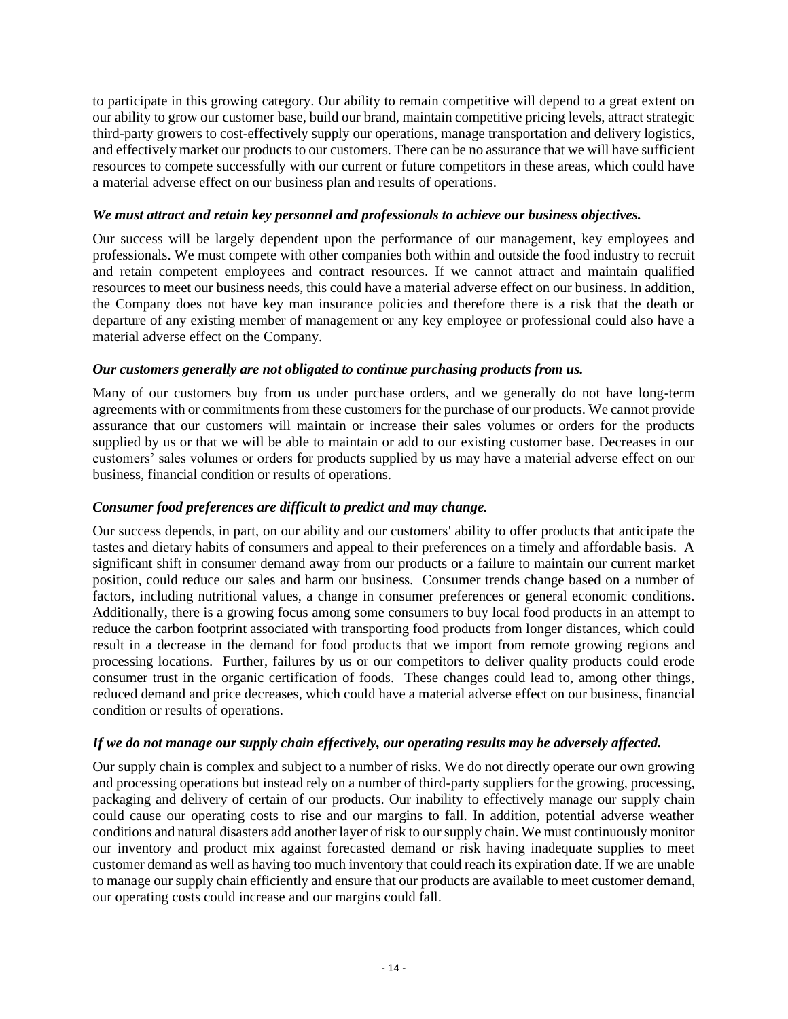to participate in this growing category. Our ability to remain competitive will depend to a great extent on our ability to grow our customer base, build our brand, maintain competitive pricing levels, attract strategic third-party growers to cost-effectively supply our operations, manage transportation and delivery logistics, and effectively market our products to our customers. There can be no assurance that we will have sufficient resources to compete successfully with our current or future competitors in these areas, which could have a material adverse effect on our business plan and results of operations.

## *We must attract and retain key personnel and professionals to achieve our business objectives.*

Our success will be largely dependent upon the performance of our management, key employees and professionals. We must compete with other companies both within and outside the food industry to recruit and retain competent employees and contract resources. If we cannot attract and maintain qualified resources to meet our business needs, this could have a material adverse effect on our business. In addition, the Company does not have key man insurance policies and therefore there is a risk that the death or departure of any existing member of management or any key employee or professional could also have a material adverse effect on the Company.

## *Our customers generally are not obligated to continue purchasing products from us.*

Many of our customers buy from us under purchase orders, and we generally do not have long-term agreements with or commitments from these customers for the purchase of our products. We cannot provide assurance that our customers will maintain or increase their sales volumes or orders for the products supplied by us or that we will be able to maintain or add to our existing customer base. Decreases in our customers' sales volumes or orders for products supplied by us may have a material adverse effect on our business, financial condition or results of operations.

## *Consumer food preferences are difficult to predict and may change.*

Our success depends, in part, on our ability and our customers' ability to offer products that anticipate the tastes and dietary habits of consumers and appeal to their preferences on a timely and affordable basis. A significant shift in consumer demand away from our products or a failure to maintain our current market position, could reduce our sales and harm our business. Consumer trends change based on a number of factors, including nutritional values, a change in consumer preferences or general economic conditions. Additionally, there is a growing focus among some consumers to buy local food products in an attempt to reduce the carbon footprint associated with transporting food products from longer distances, which could result in a decrease in the demand for food products that we import from remote growing regions and processing locations. Further, failures by us or our competitors to deliver quality products could erode consumer trust in the organic certification of foods. These changes could lead to, among other things, reduced demand and price decreases, which could have a material adverse effect on our business, financial condition or results of operations.

## *If we do not manage our supply chain effectively, our operating results may be adversely affected.*

Our supply chain is complex and subject to a number of risks. We do not directly operate our own growing and processing operations but instead rely on a number of third-party suppliers for the growing, processing, packaging and delivery of certain of our products. Our inability to effectively manage our supply chain could cause our operating costs to rise and our margins to fall. In addition, potential adverse weather conditions and natural disasters add another layer of risk to our supply chain. We must continuously monitor our inventory and product mix against forecasted demand or risk having inadequate supplies to meet customer demand as well as having too much inventory that could reach its expiration date. If we are unable to manage our supply chain efficiently and ensure that our products are available to meet customer demand, our operating costs could increase and our margins could fall.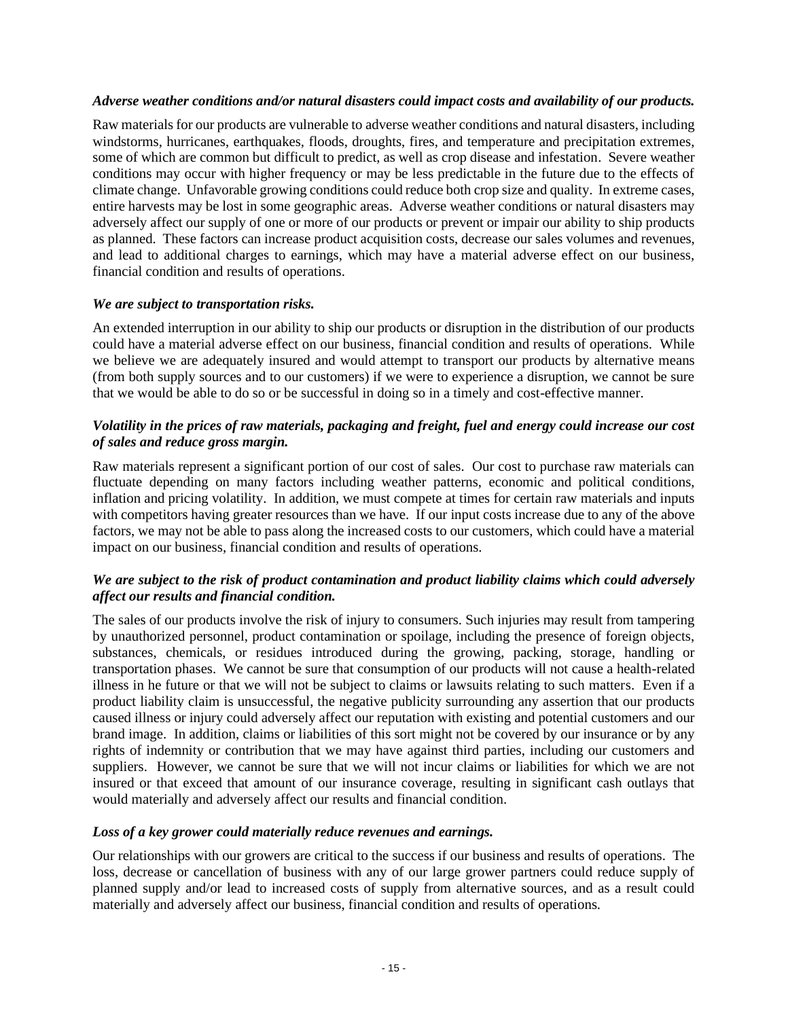#### *Adverse weather conditions and/or natural disasters could impact costs and availability of our products.*

Raw materials for our products are vulnerable to adverse weather conditions and natural disasters, including windstorms, hurricanes, earthquakes, floods, droughts, fires, and temperature and precipitation extremes, some of which are common but difficult to predict, as well as crop disease and infestation. Severe weather conditions may occur with higher frequency or may be less predictable in the future due to the effects of climate change. Unfavorable growing conditions could reduce both crop size and quality. In extreme cases, entire harvests may be lost in some geographic areas. Adverse weather conditions or natural disasters may adversely affect our supply of one or more of our products or prevent or impair our ability to ship products as planned. These factors can increase product acquisition costs, decrease our sales volumes and revenues, and lead to additional charges to earnings, which may have a material adverse effect on our business, financial condition and results of operations.

## *We are subject to transportation risks.*

An extended interruption in our ability to ship our products or disruption in the distribution of our products could have a material adverse effect on our business, financial condition and results of operations. While we believe we are adequately insured and would attempt to transport our products by alternative means (from both supply sources and to our customers) if we were to experience a disruption, we cannot be sure that we would be able to do so or be successful in doing so in a timely and cost-effective manner.

## *Volatility in the prices of raw materials, packaging and freight, fuel and energy could increase our cost of sales and reduce gross margin.*

Raw materials represent a significant portion of our cost of sales. Our cost to purchase raw materials can fluctuate depending on many factors including weather patterns, economic and political conditions, inflation and pricing volatility. In addition, we must compete at times for certain raw materials and inputs with competitors having greater resources than we have. If our input costs increase due to any of the above factors, we may not be able to pass along the increased costs to our customers, which could have a material impact on our business, financial condition and results of operations.

## *We are subject to the risk of product contamination and product liability claims which could adversely affect our results and financial condition.*

The sales of our products involve the risk of injury to consumers. Such injuries may result from tampering by unauthorized personnel, product contamination or spoilage, including the presence of foreign objects, substances, chemicals, or residues introduced during the growing, packing, storage, handling or transportation phases. We cannot be sure that consumption of our products will not cause a health-related illness in he future or that we will not be subject to claims or lawsuits relating to such matters. Even if a product liability claim is unsuccessful, the negative publicity surrounding any assertion that our products caused illness or injury could adversely affect our reputation with existing and potential customers and our brand image. In addition, claims or liabilities of this sort might not be covered by our insurance or by any rights of indemnity or contribution that we may have against third parties, including our customers and suppliers. However, we cannot be sure that we will not incur claims or liabilities for which we are not insured or that exceed that amount of our insurance coverage, resulting in significant cash outlays that would materially and adversely affect our results and financial condition.

#### *Loss of a key grower could materially reduce revenues and earnings.*

Our relationships with our growers are critical to the success if our business and results of operations. The loss, decrease or cancellation of business with any of our large grower partners could reduce supply of planned supply and/or lead to increased costs of supply from alternative sources, and as a result could materially and adversely affect our business, financial condition and results of operations.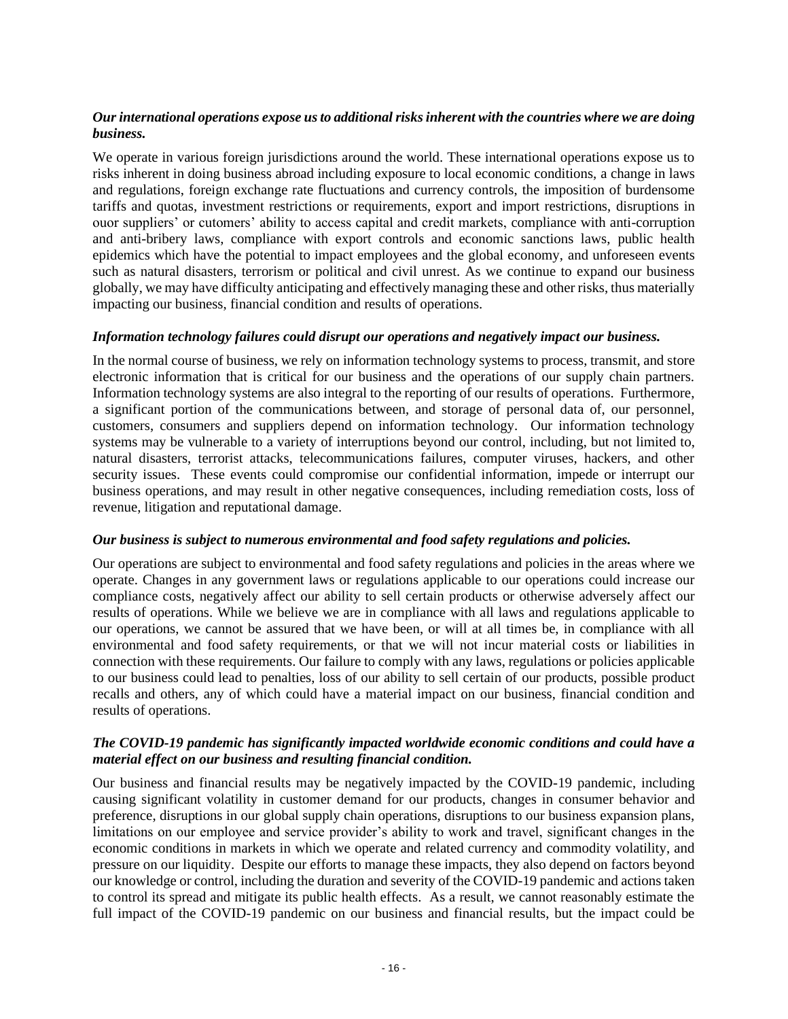## *Our international operations expose us to additional risks inherent with the countries where we are doing business.*

We operate in various foreign jurisdictions around the world. These international operations expose us to risks inherent in doing business abroad including exposure to local economic conditions, a change in laws and regulations, foreign exchange rate fluctuations and currency controls, the imposition of burdensome tariffs and quotas, investment restrictions or requirements, export and import restrictions, disruptions in ouor suppliers' or cutomers' ability to access capital and credit markets, compliance with anti-corruption and anti-bribery laws, compliance with export controls and economic sanctions laws, public health epidemics which have the potential to impact employees and the global economy, and unforeseen events such as natural disasters, terrorism or political and civil unrest. As we continue to expand our business globally, we may have difficulty anticipating and effectively managing these and other risks, thus materially impacting our business, financial condition and results of operations.

#### *Information technology failures could disrupt our operations and negatively impact our business.*

In the normal course of business, we rely on information technology systems to process, transmit, and store electronic information that is critical for our business and the operations of our supply chain partners. Information technology systems are also integral to the reporting of our results of operations. Furthermore, a significant portion of the communications between, and storage of personal data of, our personnel, customers, consumers and suppliers depend on information technology. Our information technology systems may be vulnerable to a variety of interruptions beyond our control, including, but not limited to, natural disasters, terrorist attacks, telecommunications failures, computer viruses, hackers, and other security issues. These events could compromise our confidential information, impede or interrupt our business operations, and may result in other negative consequences, including remediation costs, loss of revenue, litigation and reputational damage.

#### *Our business is subject to numerous environmental and food safety regulations and policies.*

Our operations are subject to environmental and food safety regulations and policies in the areas where we operate. Changes in any government laws or regulations applicable to our operations could increase our compliance costs, negatively affect our ability to sell certain products or otherwise adversely affect our results of operations. While we believe we are in compliance with all laws and regulations applicable to our operations, we cannot be assured that we have been, or will at all times be, in compliance with all environmental and food safety requirements, or that we will not incur material costs or liabilities in connection with these requirements. Our failure to comply with any laws, regulations or policies applicable to our business could lead to penalties, loss of our ability to sell certain of our products, possible product recalls and others, any of which could have a material impact on our business, financial condition and results of operations.

#### *The COVID-19 pandemic has significantly impacted worldwide economic conditions and could have a material effect on our business and resulting financial condition.*

Our business and financial results may be negatively impacted by the COVID-19 pandemic, including causing significant volatility in customer demand for our products, changes in consumer behavior and preference, disruptions in our global supply chain operations, disruptions to our business expansion plans, limitations on our employee and service provider's ability to work and travel, significant changes in the economic conditions in markets in which we operate and related currency and commodity volatility, and pressure on our liquidity. Despite our efforts to manage these impacts, they also depend on factors beyond our knowledge or control, including the duration and severity of the COVID-19 pandemic and actions taken to control its spread and mitigate its public health effects. As a result, we cannot reasonably estimate the full impact of the COVID-19 pandemic on our business and financial results, but the impact could be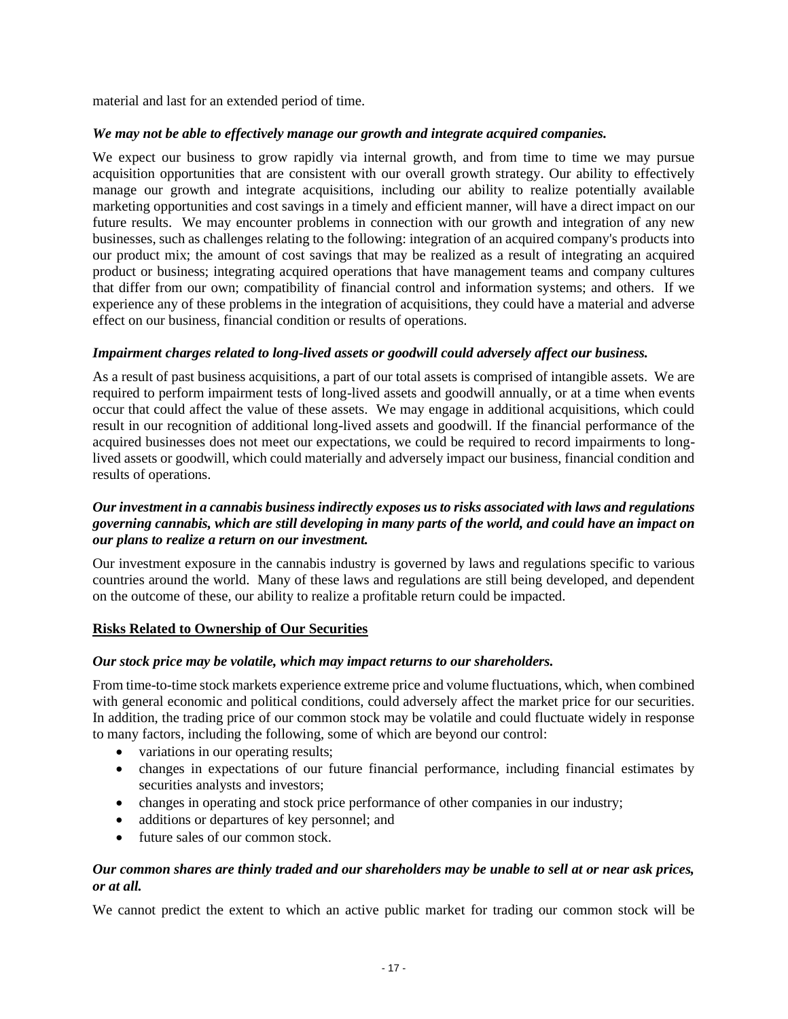material and last for an extended period of time.

## *We may not be able to effectively manage our growth and integrate acquired companies.*

We expect our business to grow rapidly via internal growth, and from time to time we may pursue acquisition opportunities that are consistent with our overall growth strategy. Our ability to effectively manage our growth and integrate acquisitions, including our ability to realize potentially available marketing opportunities and cost savings in a timely and efficient manner, will have a direct impact on our future results. We may encounter problems in connection with our growth and integration of any new businesses, such as challenges relating to the following: integration of an acquired company's products into our product mix; the amount of cost savings that may be realized as a result of integrating an acquired product or business; integrating acquired operations that have management teams and company cultures that differ from our own; compatibility of financial control and information systems; and others. If we experience any of these problems in the integration of acquisitions, they could have a material and adverse effect on our business, financial condition or results of operations.

## *Impairment charges related to long-lived assets or goodwill could adversely affect our business.*

As a result of past business acquisitions, a part of our total assets is comprised of intangible assets. We are required to perform impairment tests of long-lived assets and goodwill annually, or at a time when events occur that could affect the value of these assets. We may engage in additional acquisitions, which could result in our recognition of additional long-lived assets and goodwill. If the financial performance of the acquired businesses does not meet our expectations, we could be required to record impairments to longlived assets or goodwill, which could materially and adversely impact our business, financial condition and results of operations.

## *Our investment in a cannabis business indirectly exposes us to risks associated with laws and regulations governing cannabis, which are still developing in many parts of the world, and could have an impact on our plans to realize a return on our investment.*

Our investment exposure in the cannabis industry is governed by laws and regulations specific to various countries around the world. Many of these laws and regulations are still being developed, and dependent on the outcome of these, our ability to realize a profitable return could be impacted.

#### **Risks Related to Ownership of Our Securities**

#### *Our stock price may be volatile, which may impact returns to our shareholders.*

From time-to-time stock markets experience extreme price and volume fluctuations, which, when combined with general economic and political conditions, could adversely affect the market price for our securities. In addition, the trading price of our common stock may be volatile and could fluctuate widely in response to many factors, including the following, some of which are beyond our control:

- variations in our operating results;
- changes in expectations of our future financial performance, including financial estimates by securities analysts and investors;
- changes in operating and stock price performance of other companies in our industry;
- additions or departures of key personnel; and
- future sales of our common stock.

#### *Our common shares are thinly traded and our shareholders may be unable to sell at or near ask prices, or at all.*

We cannot predict the extent to which an active public market for trading our common stock will be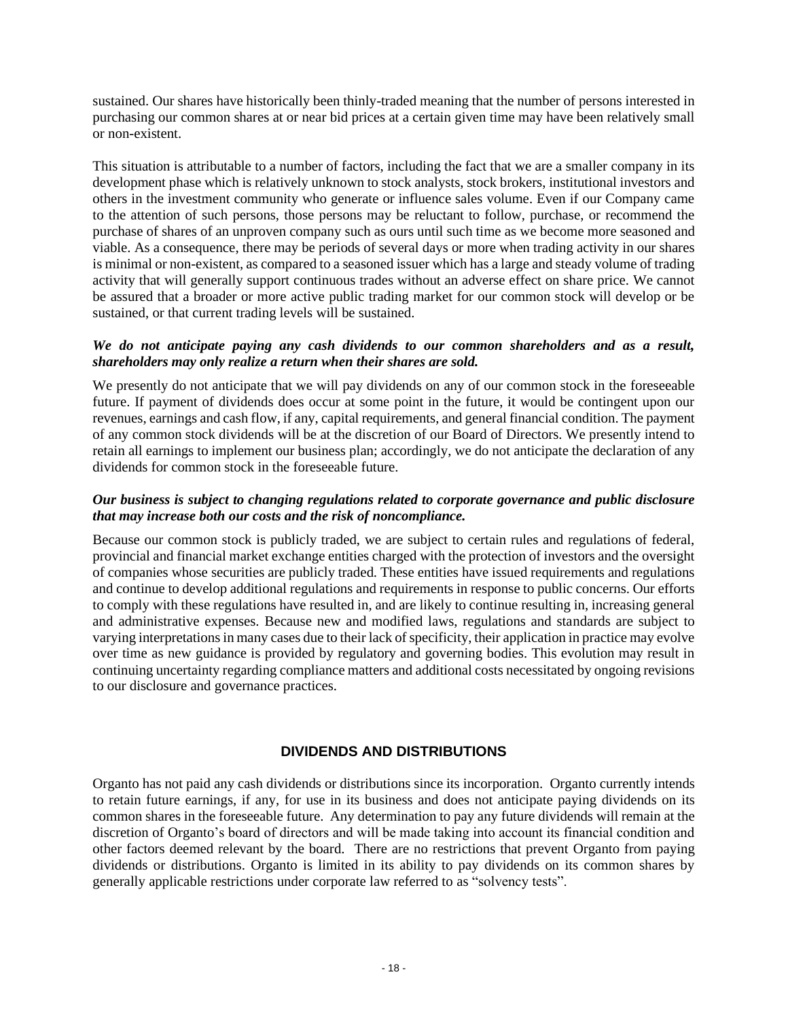sustained. Our shares have historically been thinly-traded meaning that the number of persons interested in purchasing our common shares at or near bid prices at a certain given time may have been relatively small or non-existent.

This situation is attributable to a number of factors, including the fact that we are a smaller company in its development phase which is relatively unknown to stock analysts, stock brokers, institutional investors and others in the investment community who generate or influence sales volume. Even if our Company came to the attention of such persons, those persons may be reluctant to follow, purchase, or recommend the purchase of shares of an unproven company such as ours until such time as we become more seasoned and viable. As a consequence, there may be periods of several days or more when trading activity in our shares is minimal or non-existent, as compared to a seasoned issuer which has a large and steady volume of trading activity that will generally support continuous trades without an adverse effect on share price. We cannot be assured that a broader or more active public trading market for our common stock will develop or be sustained, or that current trading levels will be sustained.

#### *We do not anticipate paying any cash dividends to our common shareholders and as a result, shareholders may only realize a return when their shares are sold.*

We presently do not anticipate that we will pay dividends on any of our common stock in the foreseeable future. If payment of dividends does occur at some point in the future, it would be contingent upon our revenues, earnings and cash flow, if any, capital requirements, and general financial condition. The payment of any common stock dividends will be at the discretion of our Board of Directors. We presently intend to retain all earnings to implement our business plan; accordingly, we do not anticipate the declaration of any dividends for common stock in the foreseeable future.

## *Our business is subject to changing regulations related to corporate governance and public disclosure that may increase both our costs and the risk of noncompliance.*

Because our common stock is publicly traded, we are subject to certain rules and regulations of federal, provincial and financial market exchange entities charged with the protection of investors and the oversight of companies whose securities are publicly traded. These entities have issued requirements and regulations and continue to develop additional regulations and requirements in response to public concerns. Our efforts to comply with these regulations have resulted in, and are likely to continue resulting in, increasing general and administrative expenses. Because new and modified laws, regulations and standards are subject to varying interpretations in many cases due to their lack of specificity, their application in practice may evolve over time as new guidance is provided by regulatory and governing bodies. This evolution may result in continuing uncertainty regarding compliance matters and additional costs necessitated by ongoing revisions to our disclosure and governance practices.

## **DIVIDENDS AND DISTRIBUTIONS**

Organto has not paid any cash dividends or distributions since its incorporation. Organto currently intends to retain future earnings, if any, for use in its business and does not anticipate paying dividends on its common shares in the foreseeable future. Any determination to pay any future dividends will remain at the discretion of Organto's board of directors and will be made taking into account its financial condition and other factors deemed relevant by the board. There are no restrictions that prevent Organto from paying dividends or distributions. Organto is limited in its ability to pay dividends on its common shares by generally applicable restrictions under corporate law referred to as "solvency tests".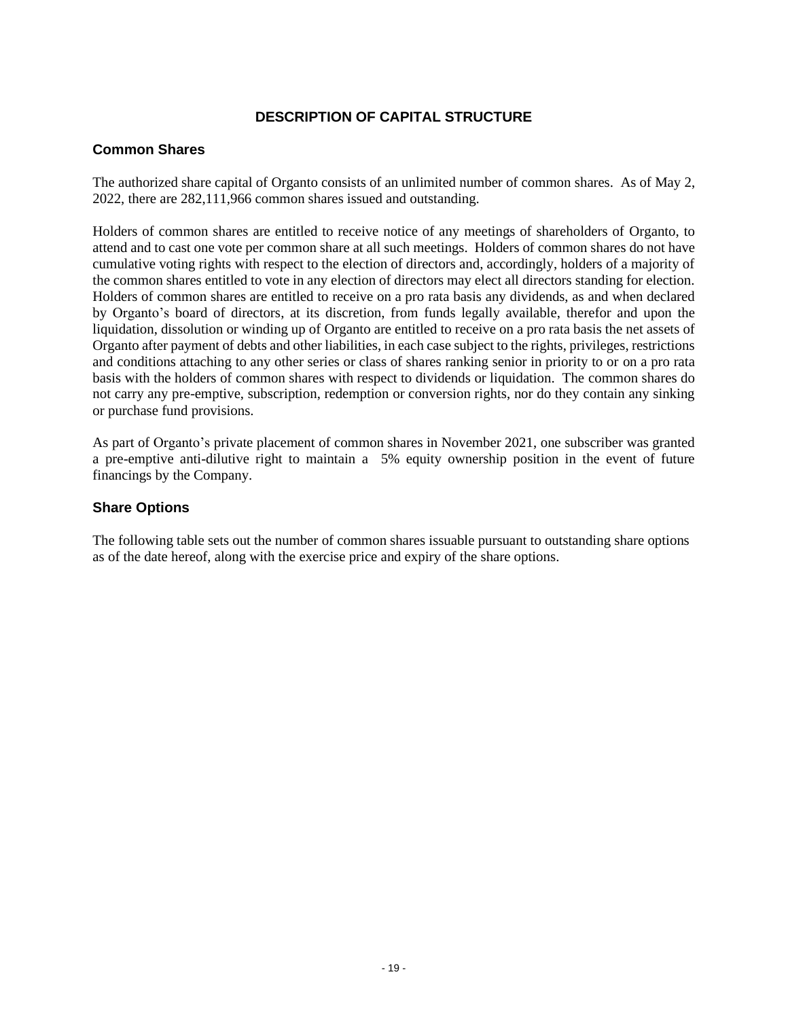## **DESCRIPTION OF CAPITAL STRUCTURE**

## **Common Shares**

The authorized share capital of Organto consists of an unlimited number of common shares. As of May 2, 2022, there are 282,111,966 common shares issued and outstanding.

Holders of common shares are entitled to receive notice of any meetings of shareholders of Organto, to attend and to cast one vote per common share at all such meetings. Holders of common shares do not have cumulative voting rights with respect to the election of directors and, accordingly, holders of a majority of the common shares entitled to vote in any election of directors may elect all directors standing for election. Holders of common shares are entitled to receive on a pro rata basis any dividends, as and when declared by Organto's board of directors, at its discretion, from funds legally available, therefor and upon the liquidation, dissolution or winding up of Organto are entitled to receive on a pro rata basis the net assets of Organto after payment of debts and other liabilities, in each case subject to the rights, privileges, restrictions and conditions attaching to any other series or class of shares ranking senior in priority to or on a pro rata basis with the holders of common shares with respect to dividends or liquidation. The common shares do not carry any pre-emptive, subscription, redemption or conversion rights, nor do they contain any sinking or purchase fund provisions.

As part of Organto's private placement of common shares in November 2021, one subscriber was granted a pre-emptive anti-dilutive right to maintain a 5% equity ownership position in the event of future financings by the Company.

## **Share Options**

The following table sets out the number of common shares issuable pursuant to outstanding share options as of the date hereof, along with the exercise price and expiry of the share options.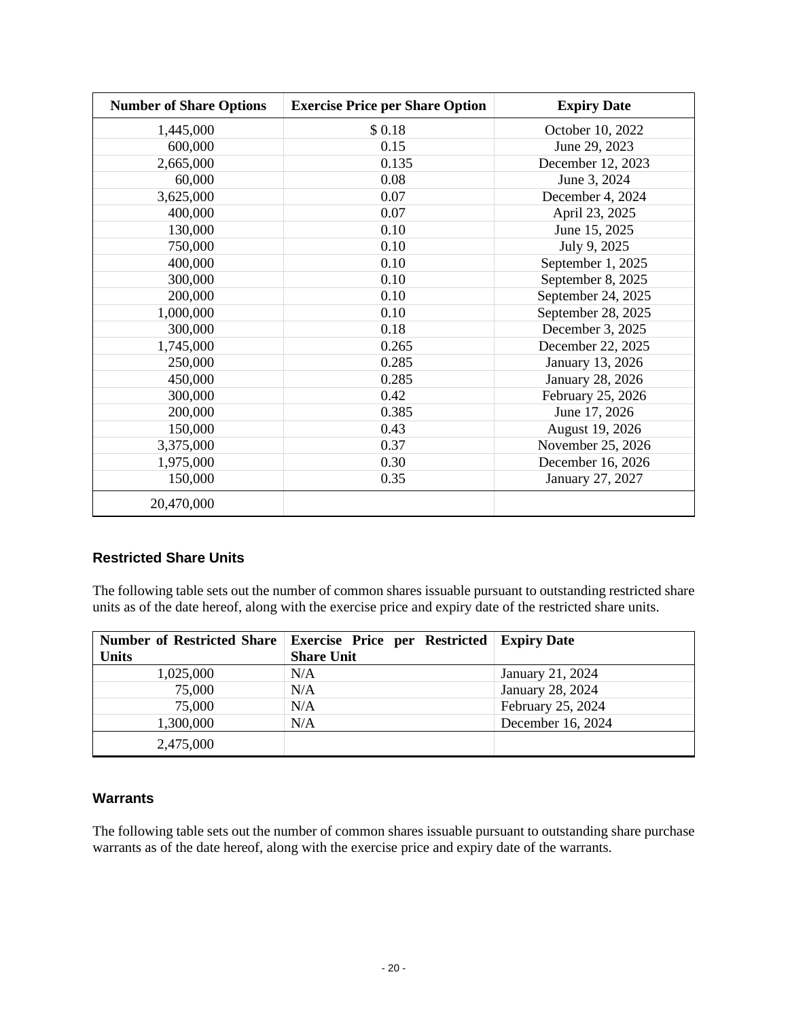| <b>Number of Share Options</b> | <b>Exercise Price per Share Option</b> | <b>Expiry Date</b> |
|--------------------------------|----------------------------------------|--------------------|
| 1,445,000                      | \$0.18                                 | October 10, 2022   |
| 600,000                        | 0.15                                   | June 29, 2023      |
| 2,665,000                      | 0.135                                  | December 12, 2023  |
| 60,000                         | 0.08                                   | June 3, 2024       |
| 3,625,000                      | 0.07                                   | December 4, 2024   |
| 400,000                        | 0.07                                   | April 23, 2025     |
| 130,000                        | 0.10                                   | June 15, 2025      |
| 750,000                        | 0.10                                   | July 9, 2025       |
| 400,000                        | 0.10                                   | September 1, 2025  |
| 300,000                        | 0.10                                   | September 8, 2025  |
| 200,000                        | 0.10                                   | September 24, 2025 |
| 1,000,000                      | 0.10                                   | September 28, 2025 |
| 300,000                        | 0.18                                   | December 3, 2025   |
| 1,745,000                      | 0.265                                  | December 22, 2025  |
| 250,000                        | 0.285                                  | January 13, 2026   |
| 450,000                        | 0.285                                  | January 28, 2026   |
| 300,000                        | 0.42                                   | February 25, 2026  |
| 200,000                        | 0.385                                  | June 17, 2026      |
| 150,000                        | 0.43                                   | August 19, 2026    |
| 3,375,000                      | 0.37                                   | November 25, 2026  |
| 1,975,000                      | 0.30                                   | December 16, 2026  |
| 150,000                        | 0.35                                   | January 27, 2027   |
| 20,470,000                     |                                        |                    |

## **Restricted Share Units**

The following table sets out the number of common shares issuable pursuant to outstanding restricted share units as of the date hereof, along with the exercise price and expiry date of the restricted share units.

| <b>Number of Restricted Share</b><br><b>Units</b> | <b>Exercise Price per Restricted Expiry Date</b><br><b>Share Unit</b> |                   |
|---------------------------------------------------|-----------------------------------------------------------------------|-------------------|
| 1,025,000                                         | N/A                                                                   | January 21, 2024  |
| 75,000                                            | N/A                                                                   | January 28, 2024  |
| 75,000                                            | N/A                                                                   | February 25, 2024 |
| 1,300,000                                         | N/A                                                                   | December 16, 2024 |
| 2,475,000                                         |                                                                       |                   |

#### **Warrants**

The following table sets out the number of common shares issuable pursuant to outstanding share purchase warrants as of the date hereof, along with the exercise price and expiry date of the warrants.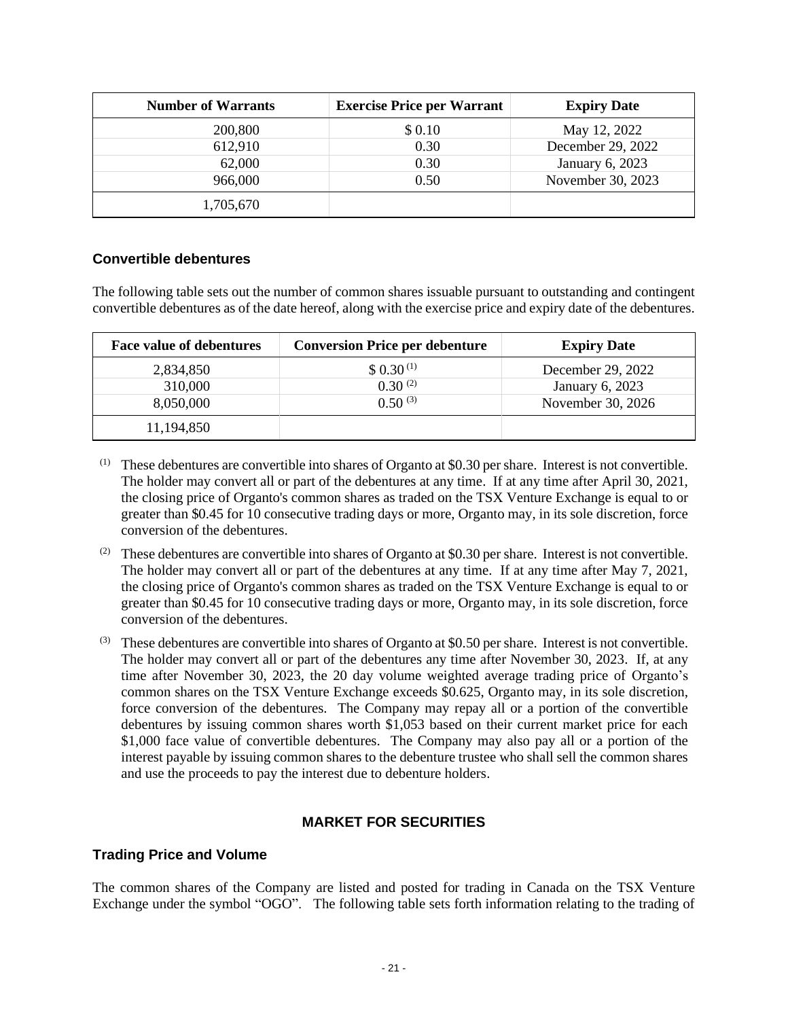| <b>Number of Warrants</b> | <b>Exercise Price per Warrant</b> | <b>Expiry Date</b> |
|---------------------------|-----------------------------------|--------------------|
| 200,800                   | \$0.10                            | May 12, 2022       |
| 612,910                   | 0.30                              | December 29, 2022  |
| 62,000                    | 0.30                              | January 6, 2023    |
| 966,000                   | 0.50                              | November 30, 2023  |
| 1,705,670                 |                                   |                    |

## **Convertible debentures**

The following table sets out the number of common shares issuable pursuant to outstanding and contingent convertible debentures as of the date hereof, along with the exercise price and expiry date of the debentures.

| <b>Face value of debentures</b> | <b>Conversion Price per debenture</b> | <b>Expiry Date</b> |
|---------------------------------|---------------------------------------|--------------------|
| 2,834,850                       | $$0.30^{(1)}$                         | December 29, 2022  |
| 310,000                         | $0.30^{(2)}$                          | January 6, 2023    |
| 8,050,000                       | $0.50^{(3)}$                          | November 30, 2026  |
| 11,194,850                      |                                       |                    |

- (1) These debentures are convertible into shares of Organto at \$0.30 per share. Interest is not convertible. The holder may convert all or part of the debentures at any time. If at any time after April 30, 2021, the closing price of Organto's common shares as traded on the TSX Venture Exchange is equal to or greater than \$0.45 for 10 consecutive trading days or more, Organto may, in its sole discretion, force conversion of the debentures.
- (2) These debentures are convertible into shares of Organto at \$0.30 per share. Interest is not convertible. The holder may convert all or part of the debentures at any time. If at any time after May 7, 2021, the closing price of Organto's common shares as traded on the TSX Venture Exchange is equal to or greater than \$0.45 for 10 consecutive trading days or more, Organto may, in its sole discretion, force conversion of the debentures.
- (3) These debentures are convertible into shares of Organto at \$0.50 per share. Interest is not convertible. The holder may convert all or part of the debentures any time after November 30, 2023. If, at any time after November 30, 2023, the 20 day volume weighted average trading price of Organto's common shares on the TSX Venture Exchange exceeds \$0.625, Organto may, in its sole discretion, force conversion of the debentures. The Company may repay all or a portion of the convertible debentures by issuing common shares worth \$1,053 based on their current market price for each \$1,000 face value of convertible debentures. The Company may also pay all or a portion of the interest payable by issuing common shares to the debenture trustee who shall sell the common shares and use the proceeds to pay the interest due to debenture holders.

## **MARKET FOR SECURITIES**

## **Trading Price and Volume**

The common shares of the Company are listed and posted for trading in Canada on the TSX Venture Exchange under the symbol "OGO". The following table sets forth information relating to the trading of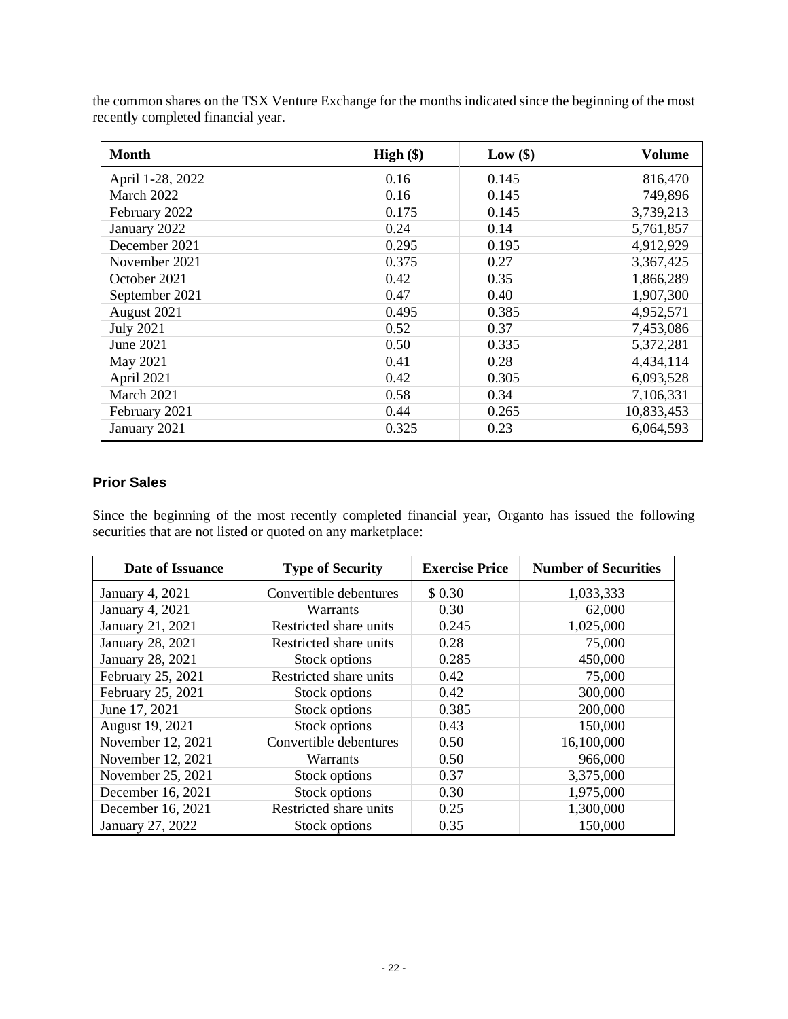| <b>Month</b>     | $High (\$)$ | Low $(\$)$ | <b>Volume</b> |
|------------------|-------------|------------|---------------|
| April 1-28, 2022 | 0.16        | 0.145      | 816,470       |
| March 2022       | 0.16        | 0.145      | 749,896       |
| February 2022    | 0.175       | 0.145      | 3,739,213     |
| January 2022     | 0.24        | 0.14       | 5,761,857     |
| December 2021    | 0.295       | 0.195      | 4,912,929     |
| November 2021    | 0.375       | 0.27       | 3,367,425     |
| October 2021     | 0.42        | 0.35       | 1,866,289     |
| September 2021   | 0.47        | 0.40       | 1,907,300     |
| August 2021      | 0.495       | 0.385      | 4,952,571     |
| <b>July 2021</b> | 0.52        | 0.37       | 7,453,086     |
| June 2021        | 0.50        | 0.335      | 5,372,281     |
| May 2021         | 0.41        | 0.28       | 4,434,114     |
| April 2021       | 0.42        | 0.305      | 6,093,528     |
| March 2021       | 0.58        | 0.34       | 7,106,331     |
| February 2021    | 0.44        | 0.265      | 10,833,453    |
| January 2021     | 0.325       | 0.23       | 6,064,593     |

the common shares on the TSX Venture Exchange for the months indicated since the beginning of the most recently completed financial year.

## **Prior Sales**

Since the beginning of the most recently completed financial year, Organto has issued the following securities that are not listed or quoted on any marketplace:

| Date of Issuance  | <b>Type of Security</b> | <b>Exercise Price</b> | <b>Number of Securities</b> |
|-------------------|-------------------------|-----------------------|-----------------------------|
| January 4, 2021   | Convertible debentures  | \$0.30                | 1,033,333                   |
| January 4, 2021   | <b>Warrants</b>         | 0.30                  | 62,000                      |
| January 21, 2021  | Restricted share units  | 0.245                 | 1,025,000                   |
| January 28, 2021  | Restricted share units  | 0.28                  | 75,000                      |
| January 28, 2021  | Stock options           | 0.285                 | 450,000                     |
| February 25, 2021 | Restricted share units  | 0.42                  | 75,000                      |
| February 25, 2021 | Stock options           | 0.42                  | 300,000                     |
| June 17, 2021     | Stock options           | 0.385                 | 200,000                     |
| August 19, 2021   | Stock options           | 0.43                  | 150,000                     |
| November 12, 2021 | Convertible debentures  | 0.50                  | 16,100,000                  |
| November 12, 2021 | Warrants                | 0.50                  | 966,000                     |
| November 25, 2021 | Stock options           | 0.37                  | 3,375,000                   |
| December 16, 2021 | Stock options           | 0.30                  | 1,975,000                   |
| December 16, 2021 | Restricted share units  | 0.25                  | 1,300,000                   |
| January 27, 2022  | Stock options           | 0.35                  | 150,000                     |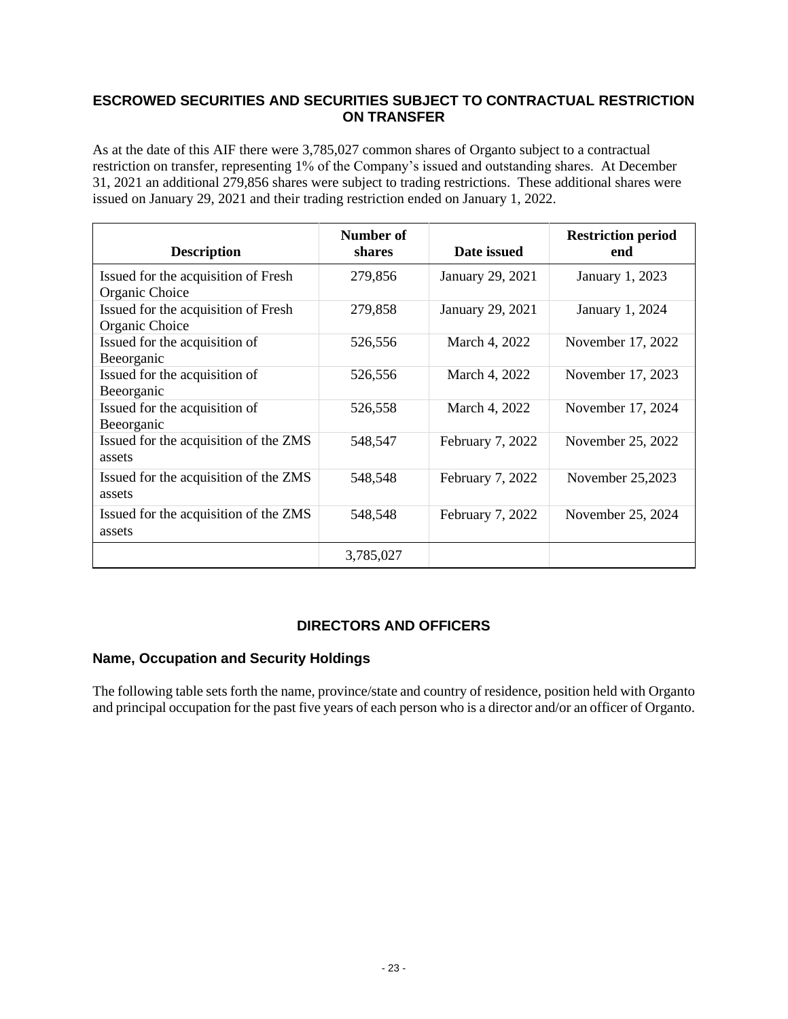## **ESCROWED SECURITIES AND SECURITIES SUBJECT TO CONTRACTUAL RESTRICTION ON TRANSFER**

As at the date of this AIF there were 3,785,027 common shares of Organto subject to a contractual restriction on transfer, representing 1% of the Company's issued and outstanding shares. At December 31, 2021 an additional 279,856 shares were subject to trading restrictions. These additional shares were issued on January 29, 2021 and their trading restriction ended on January 1, 2022.

| <b>Description</b>                                    | Number of<br>shares | Date issued      | <b>Restriction period</b><br>end |
|-------------------------------------------------------|---------------------|------------------|----------------------------------|
| Issued for the acquisition of Fresh<br>Organic Choice | 279,856             | January 29, 2021 | January 1, 2023                  |
| Issued for the acquisition of Fresh<br>Organic Choice | 279,858             | January 29, 2021 | January 1, 2024                  |
| Issued for the acquisition of<br>Beeorganic           | 526,556             | March 4, 2022    | November 17, 2022                |
| Issued for the acquisition of<br>Beeorganic           | 526,556             | March 4, 2022    | November 17, 2023                |
| Issued for the acquisition of<br>Beeorganic           | 526,558             | March 4, 2022    | November 17, 2024                |
| Issued for the acquisition of the ZMS<br>assets       | 548,547             | February 7, 2022 | November 25, 2022                |
| Issued for the acquisition of the ZMS<br>assets       | 548,548             | February 7, 2022 | November 25,2023                 |
| Issued for the acquisition of the ZMS<br>assets       | 548,548             | February 7, 2022 | November 25, 2024                |
|                                                       | 3,785,027           |                  |                                  |

## **DIRECTORS AND OFFICERS**

## **Name, Occupation and Security Holdings**

The following table sets forth the name, province/state and country of residence, position held with Organto and principal occupation for the past five years of each person who is a director and/or an officer of Organto.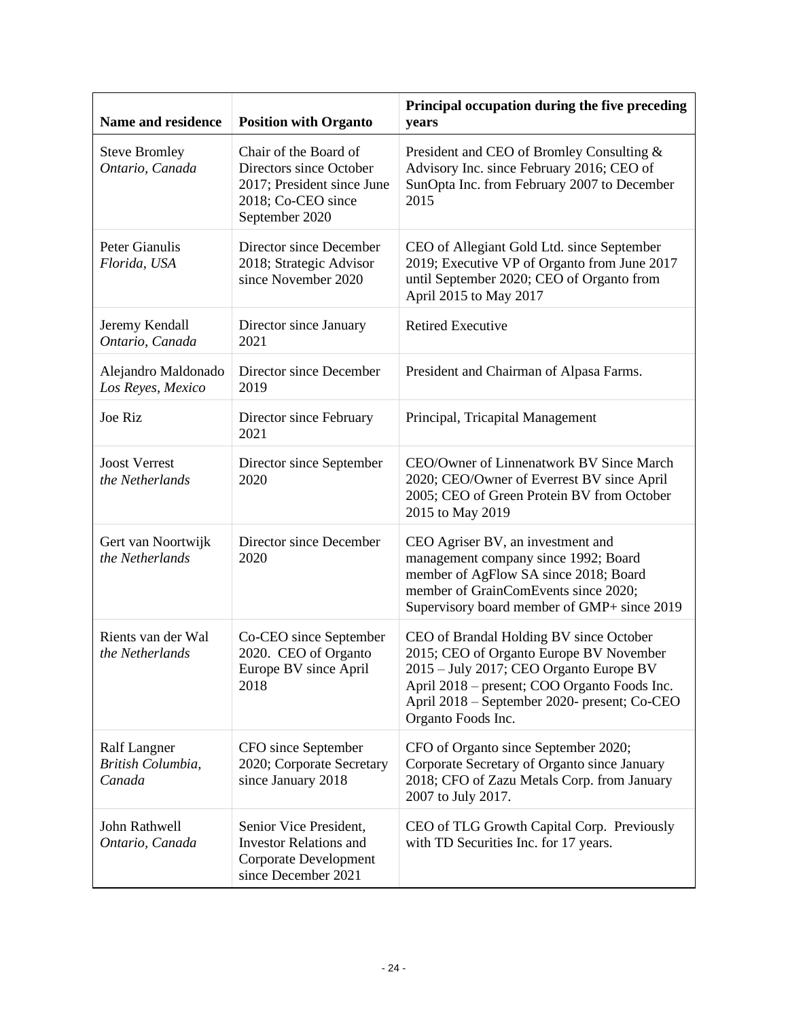| Name and residence                          | <b>Position with Organto</b>                                                                                           | Principal occupation during the five preceding<br>years                                                                                                                                                                                             |
|---------------------------------------------|------------------------------------------------------------------------------------------------------------------------|-----------------------------------------------------------------------------------------------------------------------------------------------------------------------------------------------------------------------------------------------------|
| <b>Steve Bromley</b><br>Ontario, Canada     | Chair of the Board of<br>Directors since October<br>2017; President since June<br>2018; Co-CEO since<br>September 2020 | President and CEO of Bromley Consulting &<br>Advisory Inc. since February 2016; CEO of<br>SunOpta Inc. from February 2007 to December<br>2015                                                                                                       |
| Peter Gianulis<br>Florida, USA              | Director since December<br>2018; Strategic Advisor<br>since November 2020                                              | CEO of Allegiant Gold Ltd. since September<br>2019; Executive VP of Organto from June 2017<br>until September 2020; CEO of Organto from<br>April 2015 to May 2017                                                                                   |
| Jeremy Kendall<br>Ontario, Canada           | Director since January<br>2021                                                                                         | <b>Retired Executive</b>                                                                                                                                                                                                                            |
| Alejandro Maldonado<br>Los Reyes, Mexico    | Director since December<br>2019                                                                                        | President and Chairman of Alpasa Farms.                                                                                                                                                                                                             |
| Joe Riz                                     | Director since February<br>2021                                                                                        | Principal, Tricapital Management                                                                                                                                                                                                                    |
| <b>Joost Verrest</b><br>the Netherlands     | Director since September<br>2020                                                                                       | CEO/Owner of Linnenatwork BV Since March<br>2020; CEO/Owner of Everrest BV since April<br>2005; CEO of Green Protein BV from October<br>2015 to May 2019                                                                                            |
| Gert van Noortwijk<br>the Netherlands       | Director since December<br>2020                                                                                        | CEO Agriser BV, an investment and<br>management company since 1992; Board<br>member of AgFlow SA since 2018; Board<br>member of GrainComEvents since 2020;<br>Supervisory board member of GMP+ since 2019                                           |
| Rients van der Wal<br>the Netherlands       | Co-CEO since September<br>2020. CEO of Organto<br>Europe BV since April<br>2018                                        | CEO of Brandal Holding BV since October<br>2015; CEO of Organto Europe BV November<br>2015 - July 2017; CEO Organto Europe BV<br>April 2018 – present; COO Organto Foods Inc.<br>April 2018 – September 2020- present; Co-CEO<br>Organto Foods Inc. |
| Ralf Langner<br>British Columbia,<br>Canada | CFO since September<br>2020; Corporate Secretary<br>since January 2018                                                 | CFO of Organto since September 2020;<br>Corporate Secretary of Organto since January<br>2018; CFO of Zazu Metals Corp. from January<br>2007 to July 2017.                                                                                           |
| John Rathwell<br>Ontario, Canada            | Senior Vice President,<br><b>Investor Relations and</b><br>Corporate Development<br>since December 2021                | CEO of TLG Growth Capital Corp. Previously<br>with TD Securities Inc. for 17 years.                                                                                                                                                                 |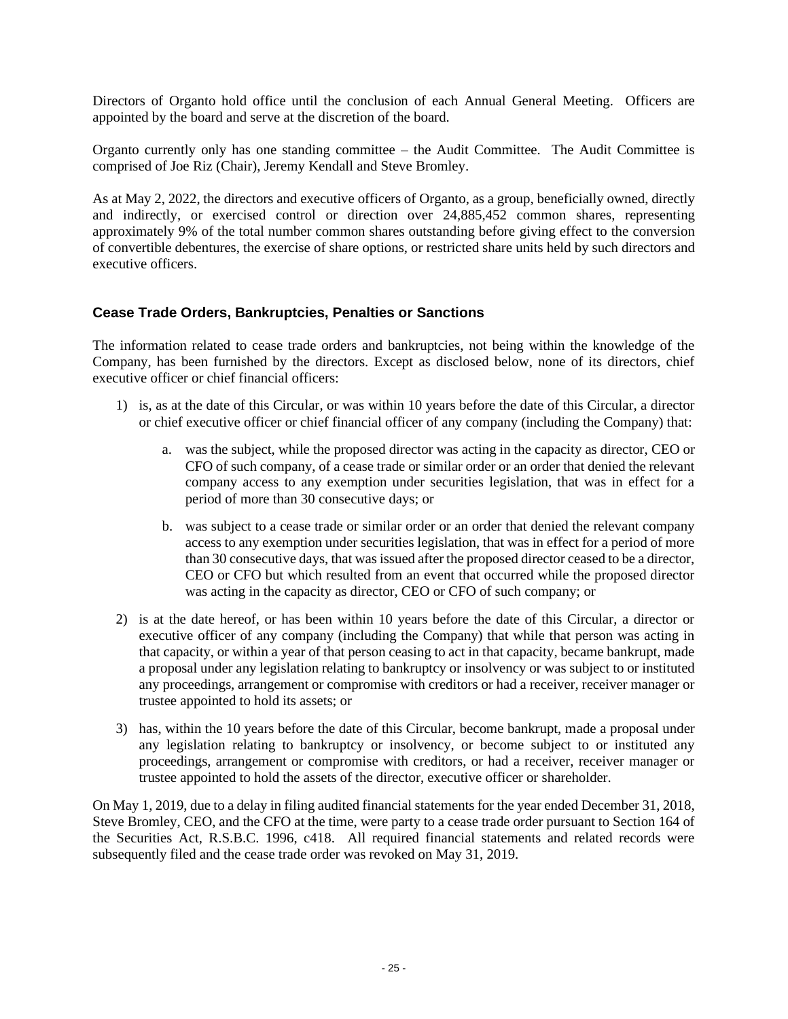Directors of Organto hold office until the conclusion of each Annual General Meeting. Officers are appointed by the board and serve at the discretion of the board.

Organto currently only has one standing committee – the Audit Committee. The Audit Committee is comprised of Joe Riz (Chair), Jeremy Kendall and Steve Bromley.

As at May 2, 2022, the directors and executive officers of Organto, as a group, beneficially owned, directly and indirectly, or exercised control or direction over 24,885,452 common shares, representing approximately 9% of the total number common shares outstanding before giving effect to the conversion of convertible debentures, the exercise of share options, or restricted share units held by such directors and executive officers.

## **Cease Trade Orders, Bankruptcies, Penalties or Sanctions**

The information related to cease trade orders and bankruptcies, not being within the knowledge of the Company, has been furnished by the directors. Except as disclosed below, none of its directors, chief executive officer or chief financial officers:

- 1) is, as at the date of this Circular, or was within 10 years before the date of this Circular, a director or chief executive officer or chief financial officer of any company (including the Company) that:
	- a. was the subject, while the proposed director was acting in the capacity as director, CEO or CFO of such company, of a cease trade or similar order or an order that denied the relevant company access to any exemption under securities legislation, that was in effect for a period of more than 30 consecutive days; or
	- b. was subject to a cease trade or similar order or an order that denied the relevant company access to any exemption under securities legislation, that was in effect for a period of more than 30 consecutive days, that was issued after the proposed director ceased to be a director, CEO or CFO but which resulted from an event that occurred while the proposed director was acting in the capacity as director, CEO or CFO of such company; or
- 2) is at the date hereof, or has been within 10 years before the date of this Circular, a director or executive officer of any company (including the Company) that while that person was acting in that capacity, or within a year of that person ceasing to act in that capacity, became bankrupt, made a proposal under any legislation relating to bankruptcy or insolvency or was subject to or instituted any proceedings, arrangement or compromise with creditors or had a receiver, receiver manager or trustee appointed to hold its assets; or
- 3) has, within the 10 years before the date of this Circular, become bankrupt, made a proposal under any legislation relating to bankruptcy or insolvency, or become subject to or instituted any proceedings, arrangement or compromise with creditors, or had a receiver, receiver manager or trustee appointed to hold the assets of the director, executive officer or shareholder.

On May 1, 2019, due to a delay in filing audited financial statements for the year ended December 31, 2018, Steve Bromley, CEO, and the CFO at the time, were party to a cease trade order pursuant to Section 164 of the Securities Act, R.S.B.C. 1996, c418. All required financial statements and related records were subsequently filed and the cease trade order was revoked on May 31, 2019.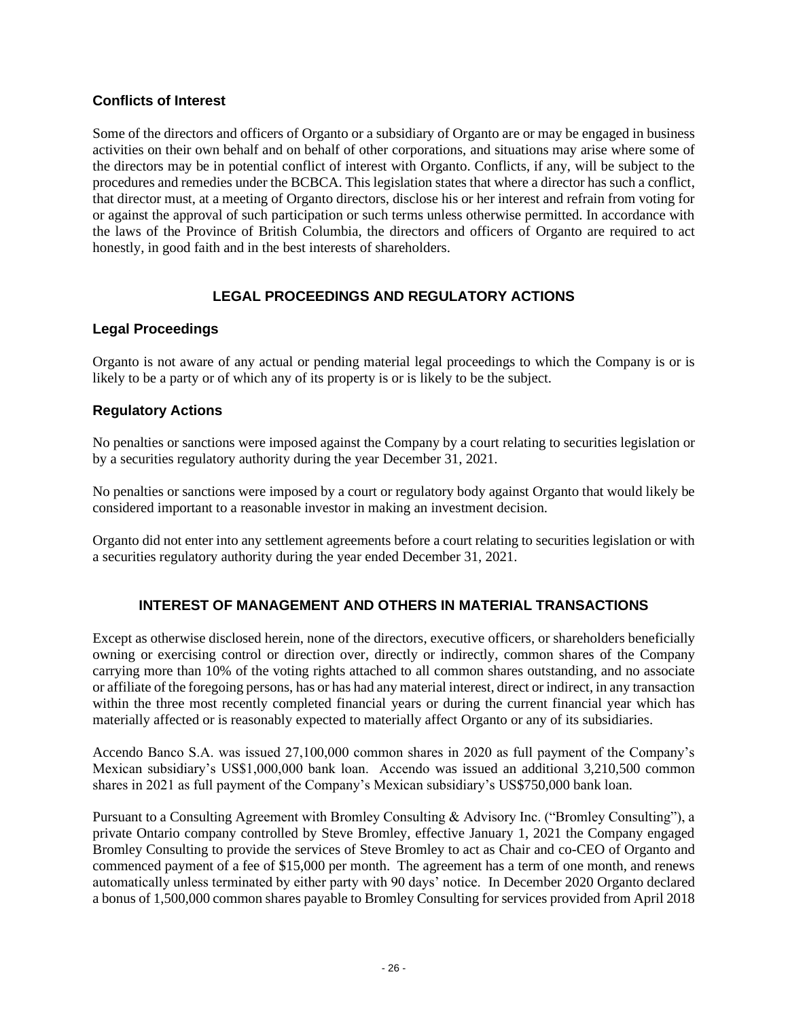## **Conflicts of Interest**

Some of the directors and officers of Organto or a subsidiary of Organto are or may be engaged in business activities on their own behalf and on behalf of other corporations, and situations may arise where some of the directors may be in potential conflict of interest with Organto. Conflicts, if any, will be subject to the procedures and remedies under the BCBCA. This legislation states that where a director has such a conflict, that director must, at a meeting of Organto directors, disclose his or her interest and refrain from voting for or against the approval of such participation or such terms unless otherwise permitted. In accordance with the laws of the Province of British Columbia, the directors and officers of Organto are required to act honestly, in good faith and in the best interests of shareholders.

## **LEGAL PROCEEDINGS AND REGULATORY ACTIONS**

## **Legal Proceedings**

Organto is not aware of any actual or pending material legal proceedings to which the Company is or is likely to be a party or of which any of its property is or is likely to be the subject.

## **Regulatory Actions**

No penalties or sanctions were imposed against the Company by a court relating to securities legislation or by a securities regulatory authority during the year December 31, 2021.

No penalties or sanctions were imposed by a court or regulatory body against Organto that would likely be considered important to a reasonable investor in making an investment decision.

Organto did not enter into any settlement agreements before a court relating to securities legislation or with a securities regulatory authority during the year ended December 31, 2021.

## **INTEREST OF MANAGEMENT AND OTHERS IN MATERIAL TRANSACTIONS**

Except as otherwise disclosed herein, none of the directors, executive officers, or shareholders beneficially owning or exercising control or direction over, directly or indirectly, common shares of the Company carrying more than 10% of the voting rights attached to all common shares outstanding, and no associate or affiliate of the foregoing persons, has or has had any material interest, direct or indirect, in any transaction within the three most recently completed financial years or during the current financial year which has materially affected or is reasonably expected to materially affect Organto or any of its subsidiaries.

Accendo Banco S.A. was issued 27,100,000 common shares in 2020 as full payment of the Company's Mexican subsidiary's US\$1,000,000 bank loan. Accendo was issued an additional 3,210,500 common shares in 2021 as full payment of the Company's Mexican subsidiary's US\$750,000 bank loan.

Pursuant to a Consulting Agreement with Bromley Consulting & Advisory Inc. ("Bromley Consulting"), a private Ontario company controlled by Steve Bromley, effective January 1, 2021 the Company engaged Bromley Consulting to provide the services of Steve Bromley to act as Chair and co-CEO of Organto and commenced payment of a fee of \$15,000 per month. The agreement has a term of one month, and renews automatically unless terminated by either party with 90 days' notice. In December 2020 Organto declared a bonus of 1,500,000 common shares payable to Bromley Consulting for services provided from April 2018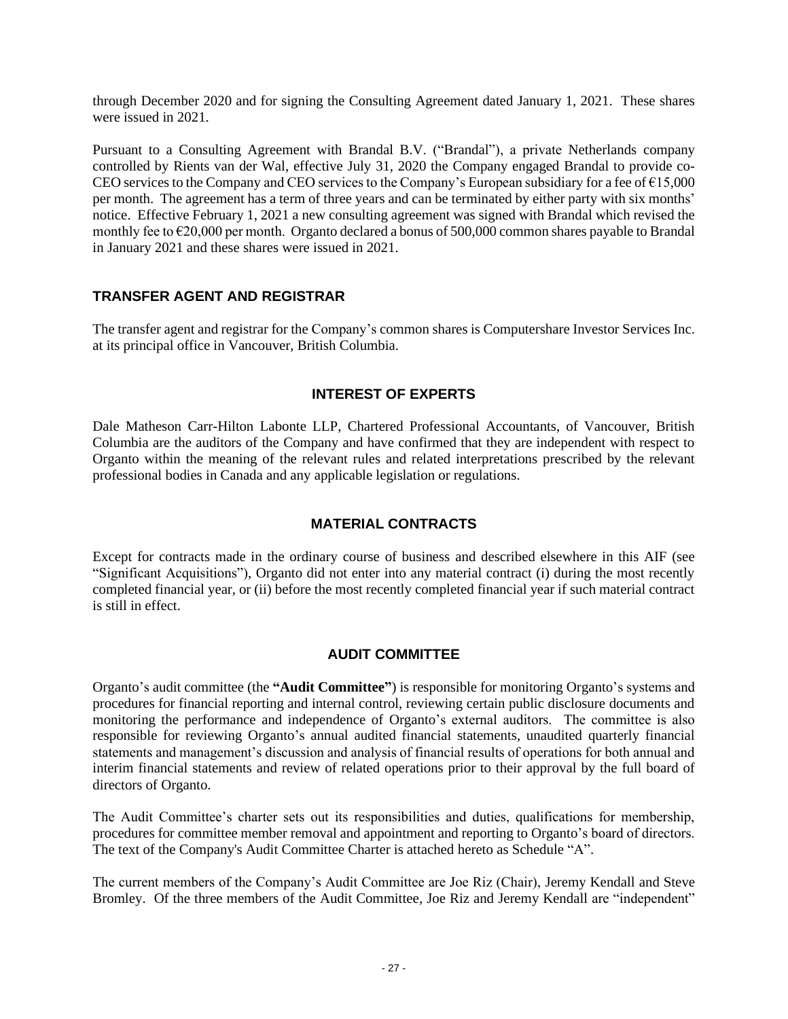through December 2020 and for signing the Consulting Agreement dated January 1, 2021. These shares were issued in 2021.

Pursuant to a Consulting Agreement with Brandal B.V. ("Brandal"), a private Netherlands company controlled by Rients van der Wal, effective July 31, 2020 the Company engaged Brandal to provide co-CEO services to the Company and CEO services to the Company's European subsidiary for a fee of €15,000 per month. The agreement has a term of three years and can be terminated by either party with six months' notice. Effective February 1, 2021 a new consulting agreement was signed with Brandal which revised the monthly fee to €20,000 per month. Organto declared a bonus of 500,000 common shares payable to Brandal in January 2021 and these shares were issued in 2021.

## **TRANSFER AGENT AND REGISTRAR**

The transfer agent and registrar for the Company's common shares is Computershare Investor Services Inc. at its principal office in Vancouver, British Columbia.

## **INTEREST OF EXPERTS**

Dale Matheson Carr-Hilton Labonte LLP, Chartered Professional Accountants, of Vancouver, British Columbia are the auditors of the Company and have confirmed that they are independent with respect to Organto within the meaning of the relevant rules and related interpretations prescribed by the relevant professional bodies in Canada and any applicable legislation or regulations.

## **MATERIAL CONTRACTS**

Except for contracts made in the ordinary course of business and described elsewhere in this AIF (see "Significant Acquisitions"), Organto did not enter into any material contract (i) during the most recently completed financial year, or (ii) before the most recently completed financial year if such material contract is still in effect.

## **AUDIT COMMITTEE**

Organto's audit committee (the **"Audit Committee"**) is responsible for monitoring Organto's systems and procedures for financial reporting and internal control, reviewing certain public disclosure documents and monitoring the performance and independence of Organto's external auditors. The committee is also responsible for reviewing Organto's annual audited financial statements, unaudited quarterly financial statements and management's discussion and analysis of financial results of operations for both annual and interim financial statements and review of related operations prior to their approval by the full board of directors of Organto.

The Audit Committee's charter sets out its responsibilities and duties, qualifications for membership, procedures for committee member removal and appointment and reporting to Organto's board of directors. The text of the Company's Audit Committee Charter is attached hereto as Schedule "A".

The current members of the Company's Audit Committee are Joe Riz (Chair), Jeremy Kendall and Steve Bromley. Of the three members of the Audit Committee, Joe Riz and Jeremy Kendall are "independent"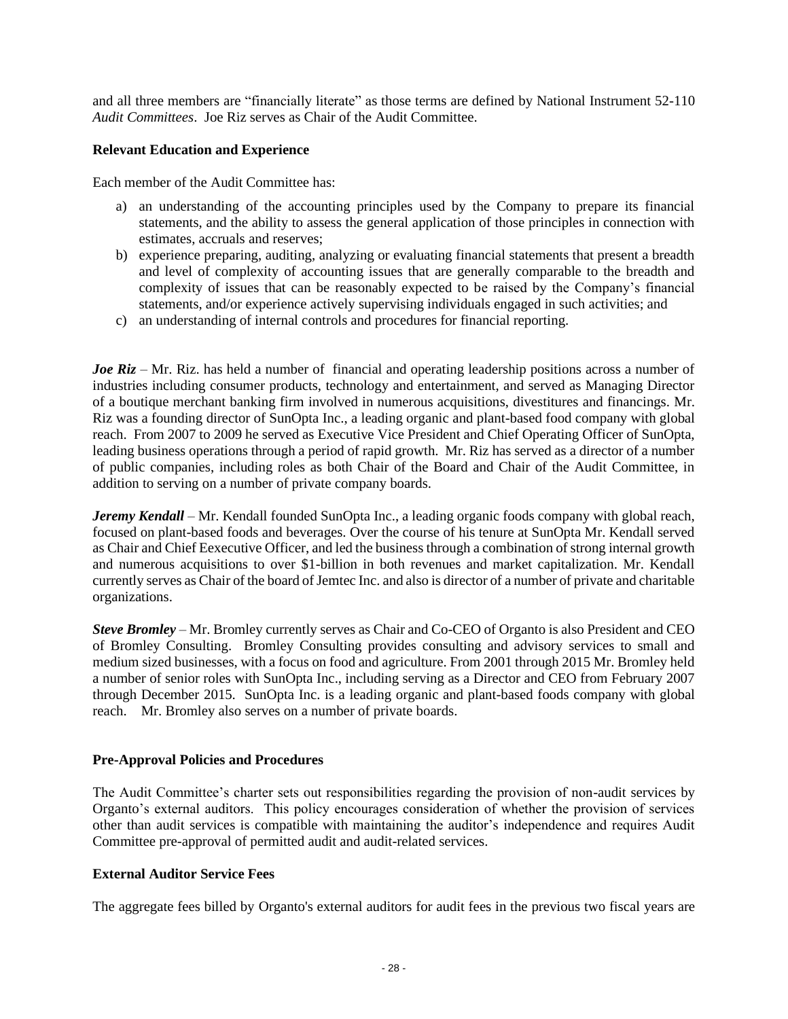and all three members are "financially literate" as those terms are defined by National Instrument 52-110 *Audit Committees*. Joe Riz serves as Chair of the Audit Committee.

#### **Relevant Education and Experience**

Each member of the Audit Committee has:

- a) an understanding of the accounting principles used by the Company to prepare its financial statements, and the ability to assess the general application of those principles in connection with estimates, accruals and reserves;
- b) experience preparing, auditing, analyzing or evaluating financial statements that present a breadth and level of complexity of accounting issues that are generally comparable to the breadth and complexity of issues that can be reasonably expected to be raised by the Company's financial statements, and/or experience actively supervising individuals engaged in such activities; and
- c) an understanding of internal controls and procedures for financial reporting.

*Joe Riz* – Mr. Riz. has held a number of financial and operating leadership positions across a number of industries including consumer products, technology and entertainment, and served as Managing Director of a boutique merchant banking firm involved in numerous acquisitions, divestitures and financings. Mr. Riz was a founding director of SunOpta Inc., a leading organic and plant-based food company with global reach. From 2007 to 2009 he served as Executive Vice President and Chief Operating Officer of SunOpta, leading business operations through a period of rapid growth. Mr. Riz has served as a director of a number of public companies, including roles as both Chair of the Board and Chair of the Audit Committee, in addition to serving on a number of private company boards.

*Jeremy Kendall* – Mr. Kendall founded SunOpta Inc., a leading organic foods company with global reach, focused on plant-based foods and beverages. Over the course of his tenure at SunOpta Mr. Kendall served as Chair and Chief Eexecutive Officer, and led the business through a combination of strong internal growth and numerous acquisitions to over \$1-billion in both revenues and market capitalization. Mr. Kendall currently serves as Chair of the board of Jemtec Inc. and also is director of a number of private and charitable organizations.

*Steve Bromley* – Mr. Bromley currently serves as Chair and Co-CEO of Organto is also President and CEO of Bromley Consulting. Bromley Consulting provides consulting and advisory services to small and medium sized businesses, with a focus on food and agriculture. From 2001 through 2015 Mr. Bromley held a number of senior roles with SunOpta Inc., including serving as a Director and CEO from February 2007 through December 2015. SunOpta Inc. is a leading organic and plant-based foods company with global reach. Mr. Bromley also serves on a number of private boards.

#### **Pre-Approval Policies and Procedures**

The Audit Committee's charter sets out responsibilities regarding the provision of non-audit services by Organto's external auditors. This policy encourages consideration of whether the provision of services other than audit services is compatible with maintaining the auditor's independence and requires Audit Committee pre-approval of permitted audit and audit-related services.

#### **External Auditor Service Fees**

The aggregate fees billed by Organto's external auditors for audit fees in the previous two fiscal years are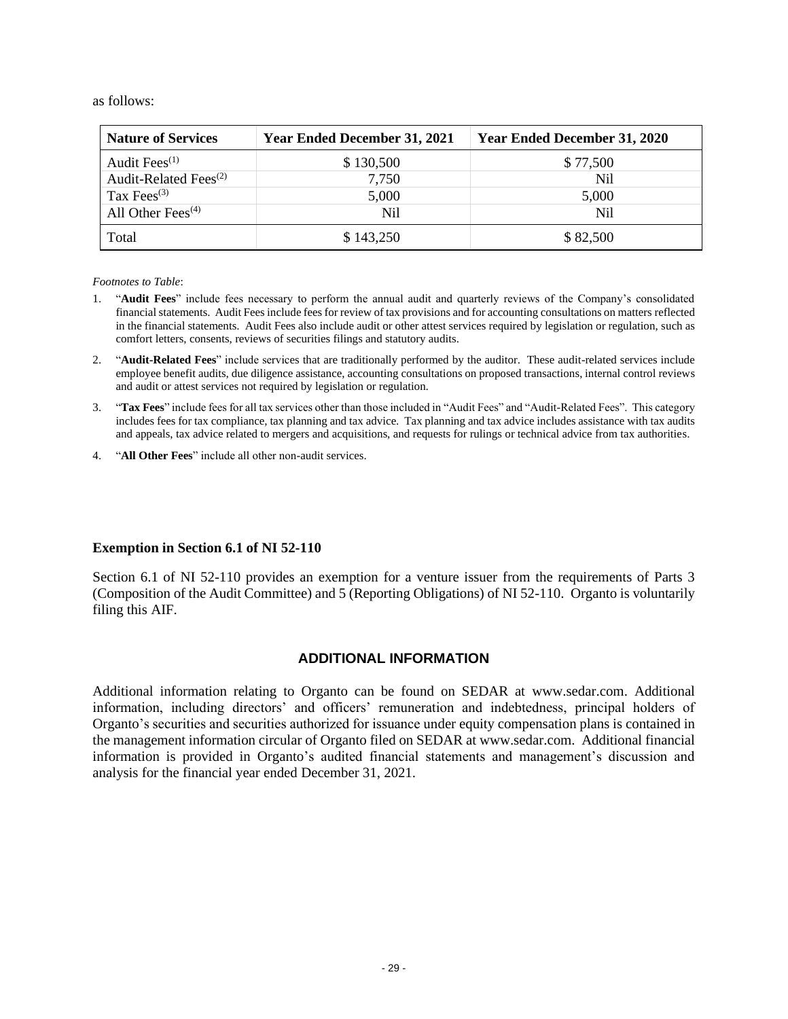#### as follows:

| <b>Nature of Services</b>         | <b>Year Ended December 31, 2021</b> | <b>Year Ended December 31, 2020</b> |
|-----------------------------------|-------------------------------------|-------------------------------------|
| Audit Fee $s$ <sup>(1)</sup>      | \$130,500                           | \$77,500                            |
| Audit-Related Fees <sup>(2)</sup> | 7,750                               | N <sub>i</sub>                      |
| Tax Fees $^{(3)}$                 | 5,000                               | 5,000                               |
| All Other Fees $(4)$              | Nil                                 | N <sub>i</sub>                      |
| Total                             | \$143,250                           | \$82,500                            |

*Footnotes to Table*:

- 1. "**Audit Fees**" include fees necessary to perform the annual audit and quarterly reviews of the Company's consolidated financial statements. Audit Fees include fees for review of tax provisions and for accounting consultations on matters reflected in the financial statements. Audit Fees also include audit or other attest services required by legislation or regulation, such as comfort letters, consents, reviews of securities filings and statutory audits.
- 2. "**Audit-Related Fees**" include services that are traditionally performed by the auditor. These audit-related services include employee benefit audits, due diligence assistance, accounting consultations on proposed transactions, internal control reviews and audit or attest services not required by legislation or regulation.
- 3. "**Tax Fees**" include fees for all tax services other than those included in "Audit Fees" and "Audit-Related Fees". This category includes fees for tax compliance, tax planning and tax advice. Tax planning and tax advice includes assistance with tax audits and appeals, tax advice related to mergers and acquisitions, and requests for rulings or technical advice from tax authorities.
- 4. "**All Other Fees**" include all other non-audit services.

#### **Exemption in Section 6.1 of NI 52-110**

Section 6.1 of NI 52-110 provides an exemption for a venture issuer from the requirements of Parts 3 (Composition of the Audit Committee) and 5 (Reporting Obligations) of NI 52-110. Organto is voluntarily filing this AIF.

#### **ADDITIONAL INFORMATION**

Additional information relating to Organto can be found on SEDAR at www.sedar.com. Additional information, including directors' and officers' remuneration and indebtedness, principal holders of Organto's securities and securities authorized for issuance under equity compensation plans is contained in the management information circular of Organto filed on SEDAR a[t www.sedar.com.](http://www.sedar.com/) Additional financial information is provided in Organto's audited financial statements and management's discussion and analysis for the financial year ended December 31, 2021.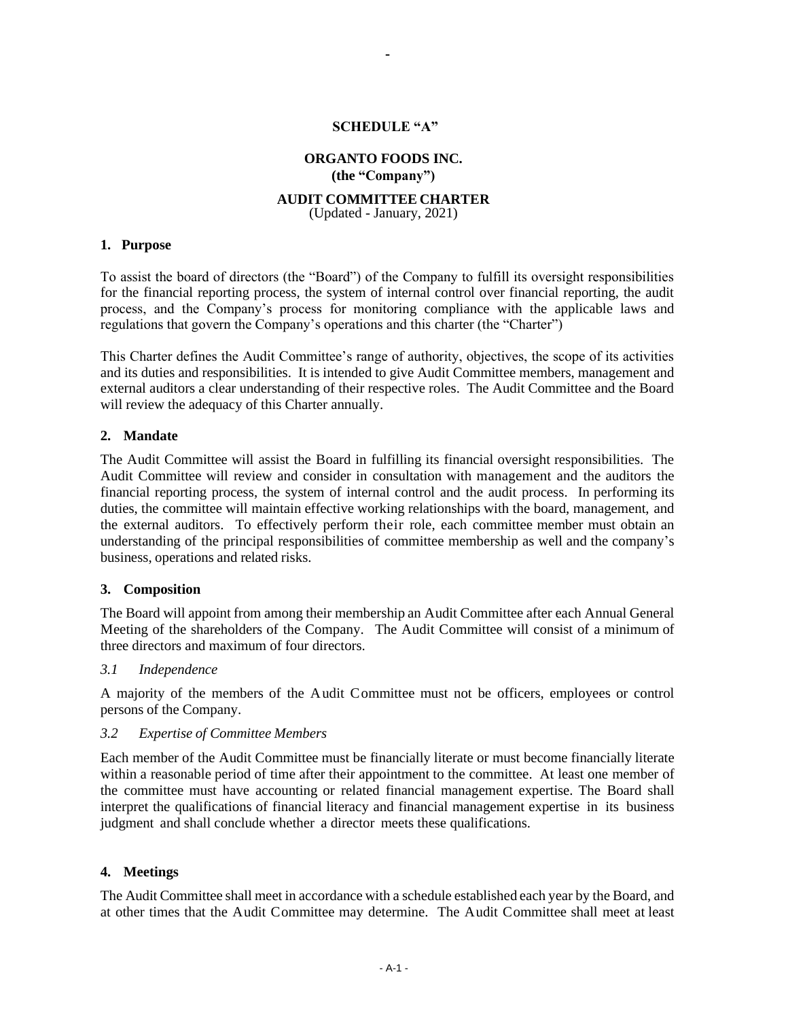#### **SCHEDULE "A"**

-

## **ORGANTO FOODS INC. (the "Company")**

#### **AUDIT COMMITTEE CHARTER**

(Updated - January, 2021)

#### **1. Purpose**

To assist the board of directors (the "Board") of the Company to fulfill its oversight responsibilities for the financial reporting process, the system of internal control over financial reporting, the audit process, and the Company's process for monitoring compliance with the applicable laws and regulations that govern the Company's operations and this charter (the "Charter")

This Charter defines the Audit Committee's range of authority, objectives, the scope of its activities and its duties and responsibilities. It is intended to give Audit Committee members, management and external auditors a clear understanding of their respective roles. The Audit Committee and the Board will review the adequacy of this Charter annually.

#### **2. Mandate**

The Audit Committee will assist the Board in fulfilling its financial oversight responsibilities. The Audit Committee will review and consider in consultation with management and the auditors the financial reporting process, the system of internal control and the audit process. In performing its duties, the committee will maintain effective working relationships with the board, management, and the external auditors. To effectively perform their role, each committee member must obtain an understanding of the principal responsibilities of committee membership as well and the company's business, operations and related risks.

#### **3. Composition**

The Board will appoint from among their membership an Audit Committee after each Annual General Meeting of the shareholders of the Company. The Audit Committee will consist of a minimum of three directors and maximum of four directors.

#### *3.1 Independence*

A majority of the members of the Audit Committee must not be officers, employees or control persons of the Company.

#### *3.2 Expertise of Committee Members*

Each member of the Audit Committee must be financially literate or must become financially literate within a reasonable period of time after their appointment to the committee. At least one member of the committee must have accounting or related financial management expertise. The Board shall interpret the qualifications of financial literacy and financial management expertise in its business judgment and shall conclude whether a director meets these qualifications.

#### **4. Meetings**

The Audit Committee shall meet in accordance with a schedule established each year by the Board, and at other times that the Audit Committee may determine. The Audit Committee shall meet at least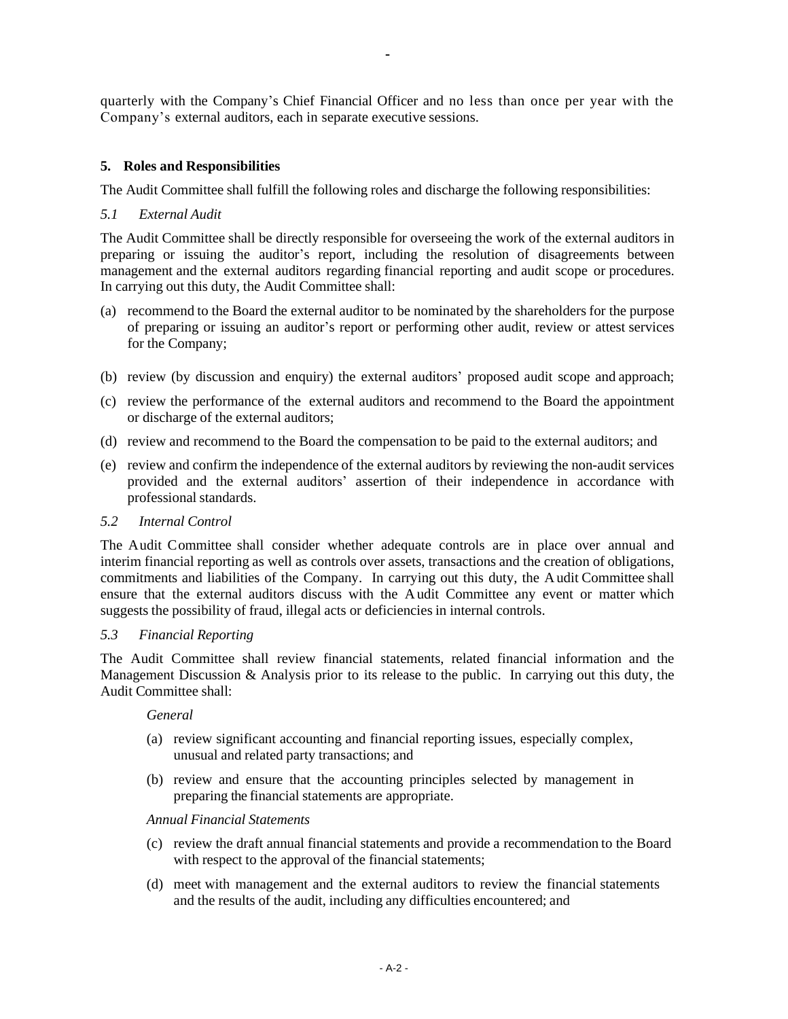quarterly with the Company's Chief Financial Officer and no less than once per year with the Company's external auditors, each in separate executive sessions.

-

## **5. Roles and Responsibilities**

The Audit Committee shall fulfill the following roles and discharge the following responsibilities:

#### *5.1 External Audit*

The Audit Committee shall be directly responsible for overseeing the work of the external auditors in preparing or issuing the auditor's report, including the resolution of disagreements between management and the external auditors regarding financial reporting and audit scope or procedures. In carrying out this duty, the Audit Committee shall:

- (a) recommend to the Board the external auditor to be nominated by the shareholders for the purpose of preparing or issuing an auditor's report or performing other audit, review or attest services for the Company;
- (b) review (by discussion and enquiry) the external auditors' proposed audit scope and approach;
- (c) review the performance of the external auditors and recommend to the Board the appointment or discharge of the external auditors;
- (d) review and recommend to the Board the compensation to be paid to the external auditors; and
- (e) review and confirm the independence of the external auditors by reviewing the non-audit services provided and the external auditors' assertion of their independence in accordance with professional standards.

#### *5.2 Internal Control*

The Audit Committee shall consider whether adequate controls are in place over annual and interim financial reporting as well as controls over assets, transactions and the creation of obligations, commitments and liabilities of the Company. In carrying out this duty, the Audit Committee shall ensure that the external auditors discuss with the Audit Committee any event or matter which suggests the possibility of fraud, illegal acts or deficiencies in internal controls.

#### *5.3 Financial Reporting*

The Audit Committee shall review financial statements, related financial information and the Management Discussion & Analysis prior to its release to the public. In carrying out this duty, the Audit Committee shall:

#### *General*

- (a) review significant accounting and financial reporting issues, especially complex, unusual and related party transactions; and
- (b) review and ensure that the accounting principles selected by management in preparing the financial statements are appropriate.

#### *Annual Financial Statements*

- (c) review the draft annual financial statements and provide a recommendation to the Board with respect to the approval of the financial statements;
- (d) meet with management and the external auditors to review the financial statements and the results of the audit, including any difficulties encountered; and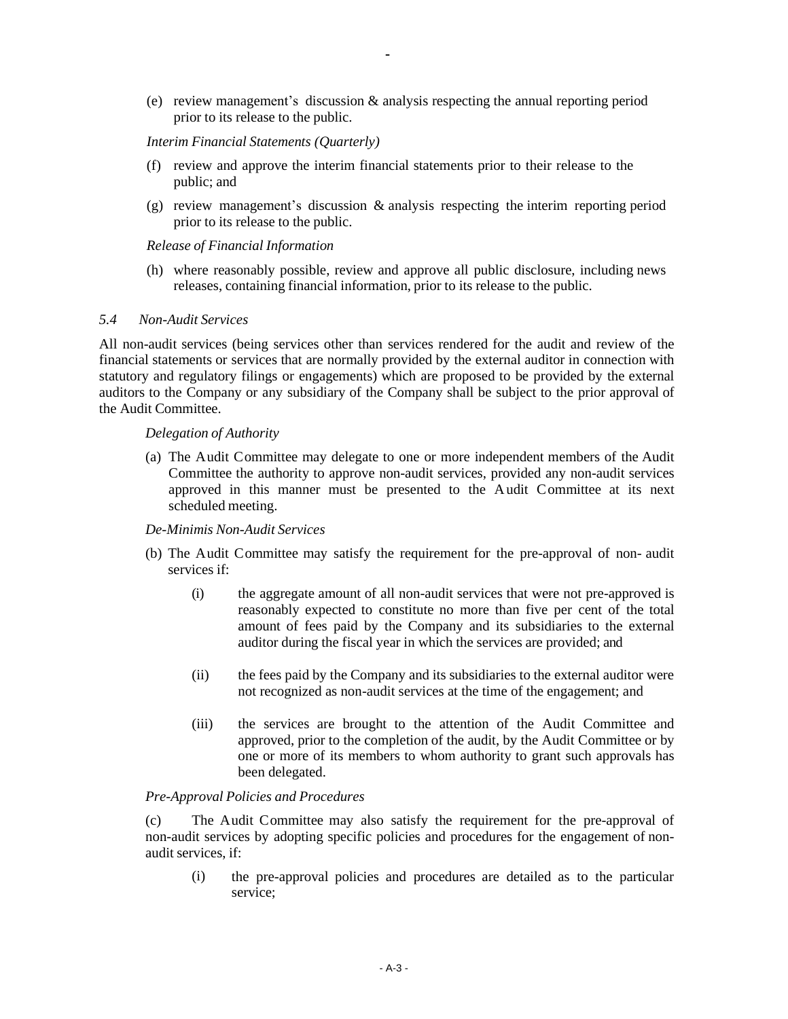(e) review management's discussion & analysis respecting the annual reporting period prior to its release to the public.

#### *Interim Financial Statements (Quarterly)*

- (f) review and approve the interim financial statements prior to their release to the public; and
- (g) review management's discussion & analysis respecting the interim reporting period prior to its release to the public.

#### *Release of Financial Information*

(h) where reasonably possible, review and approve all public disclosure, including news releases, containing financial information, prior to its release to the public.

#### *5.4 Non-Audit Services*

All non-audit services (being services other than services rendered for the audit and review of the financial statements or services that are normally provided by the external auditor in connection with statutory and regulatory filings or engagements) which are proposed to be provided by the external auditors to the Company or any subsidiary of the Company shall be subject to the prior approval of the Audit Committee.

#### *Delegation of Authority*

(a) The Audit Committee may delegate to one or more independent members of the Audit Committee the authority to approve non-audit services, provided any non-audit services approved in this manner must be presented to the Audit Committee at its next scheduled meeting.

#### *De-Minimis Non-Audit Services*

- (b) The Audit Committee may satisfy the requirement for the pre-approval of non- audit services if:
	- (i) the aggregate amount of all non-audit services that were not pre-approved is reasonably expected to constitute no more than five per cent of the total amount of fees paid by the Company and its subsidiaries to the external auditor during the fiscal year in which the services are provided; and
	- (ii) the fees paid by the Company and its subsidiaries to the external auditor were not recognized as non-audit services at the time of the engagement; and
	- (iii) the services are brought to the attention of the Audit Committee and approved, prior to the completion of the audit, by the Audit Committee or by one or more of its members to whom authority to grant such approvals has been delegated.

#### *Pre-Approval Policies and Procedures*

(c) The Audit Committee may also satisfy the requirement for the pre-approval of non-audit services by adopting specific policies and procedures for the engagement of nonaudit services, if:

(i) the pre-approval policies and procedures are detailed as to the particular service;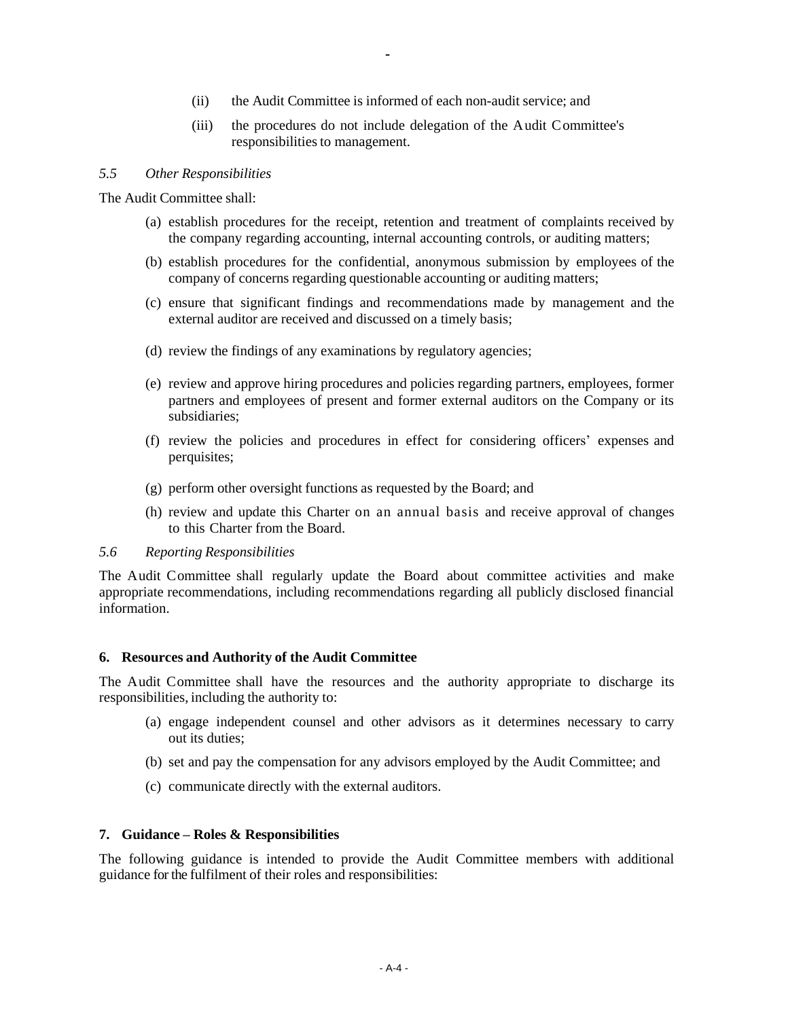(ii) the Audit Committee is informed of each non-audit service; and

-

(iii) the procedures do not include delegation of the Audit Committee's responsibilities to management.

#### *5.5 Other Responsibilities*

The Audit Committee shall:

- (a) establish procedures for the receipt, retention and treatment of complaints received by the company regarding accounting, internal accounting controls, or auditing matters;
- (b) establish procedures for the confidential, anonymous submission by employees of the company of concerns regarding questionable accounting or auditing matters;
- (c) ensure that significant findings and recommendations made by management and the external auditor are received and discussed on a timely basis;
- (d) review the findings of any examinations by regulatory agencies;
- (e) review and approve hiring procedures and policies regarding partners, employees, former partners and employees of present and former external auditors on the Company or its subsidiaries;
- (f) review the policies and procedures in effect for considering officers' expenses and perquisites;
- (g) perform other oversight functions as requested by the Board; and
- (h) review and update this Charter on an annual basis and receive approval of changes to this Charter from the Board.

#### *5.6 Reporting Responsibilities*

The Audit Committee shall regularly update the Board about committee activities and make appropriate recommendations, including recommendations regarding all publicly disclosed financial information.

#### **6. Resources and Authority of the Audit Committee**

The Audit Committee shall have the resources and the authority appropriate to discharge its responsibilities, including the authority to:

- (a) engage independent counsel and other advisors as it determines necessary to carry out its duties;
- (b) set and pay the compensation for any advisors employed by the Audit Committee; and
- (c) communicate directly with the external auditors.

#### **7. Guidance – Roles & Responsibilities**

The following guidance is intended to provide the Audit Committee members with additional guidance for the fulfilment of their roles and responsibilities: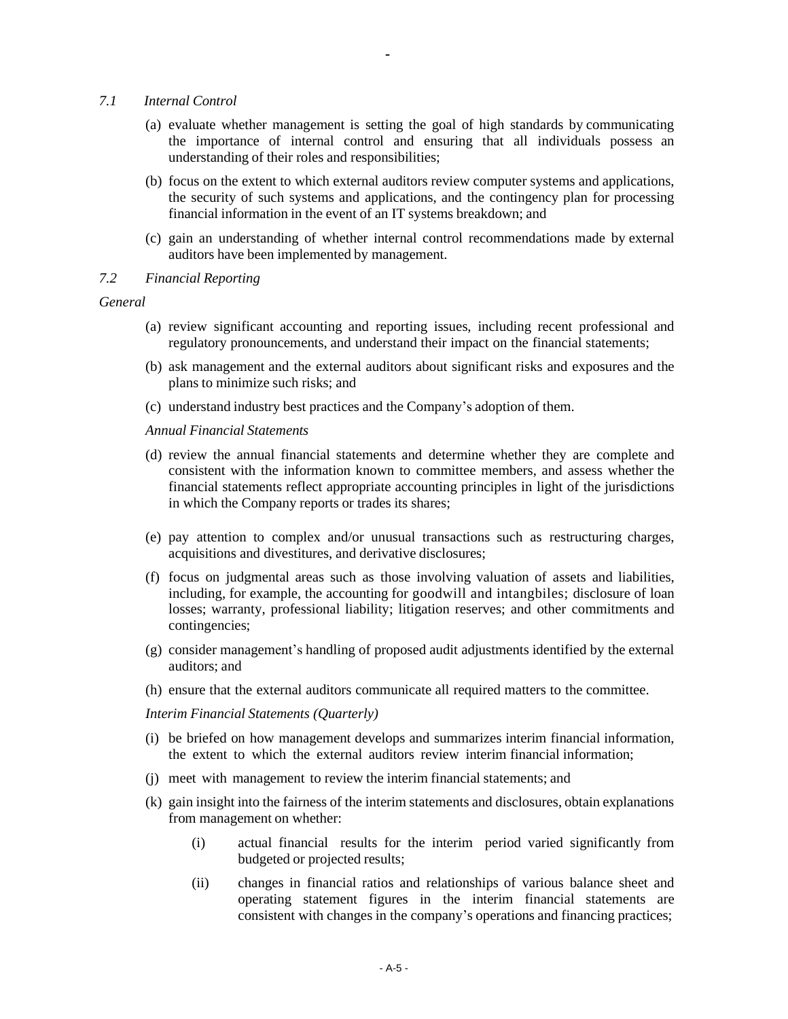- *7.1 Internal Control*
	- (a) evaluate whether management is setting the goal of high standards by communicating the importance of internal control and ensuring that all individuals possess an understanding of their roles and responsibilities;

-

- (b) focus on the extent to which external auditors review computer systems and applications, the security of such systems and applications, and the contingency plan for processing financial information in the event of an IT systems breakdown; and
- (c) gain an understanding of whether internal control recommendations made by external auditors have been implemented by management.
- *7.2 Financial Reporting*

*General*

- (a) review significant accounting and reporting issues, including recent professional and regulatory pronouncements, and understand their impact on the financial statements;
- (b) ask management and the external auditors about significant risks and exposures and the plans to minimize such risks; and
- (c) understand industry best practices and the Company's adoption of them.

*Annual Financial Statements*

- (d) review the annual financial statements and determine whether they are complete and consistent with the information known to committee members, and assess whether the financial statements reflect appropriate accounting principles in light of the jurisdictions in which the Company reports or trades its shares;
- (e) pay attention to complex and/or unusual transactions such as restructuring charges, acquisitions and divestitures, and derivative disclosures;
- (f) focus on judgmental areas such as those involving valuation of assets and liabilities, including, for example, the accounting for goodwill and intangbiles; disclosure of loan losses; warranty, professional liability; litigation reserves; and other commitments and contingencies;
- (g) consider management's handling of proposed audit adjustments identified by the external auditors; and
- (h) ensure that the external auditors communicate all required matters to the committee.

*Interim Financial Statements (Quarterly)* 

- (i) be briefed on how management develops and summarizes interim financial information, the extent to which the external auditors review interim financial information;
- (j) meet with management to review the interim financial statements; and
- (k) gain insight into the fairness of the interim statements and disclosures, obtain explanations from management on whether:
	- (i) actual financial results for the interim period varied significantly from budgeted or projected results;
	- (ii) changes in financial ratios and relationships of various balance sheet and operating statement figures in the interim financial statements are consistent with changes in the company's operations and financing practices;